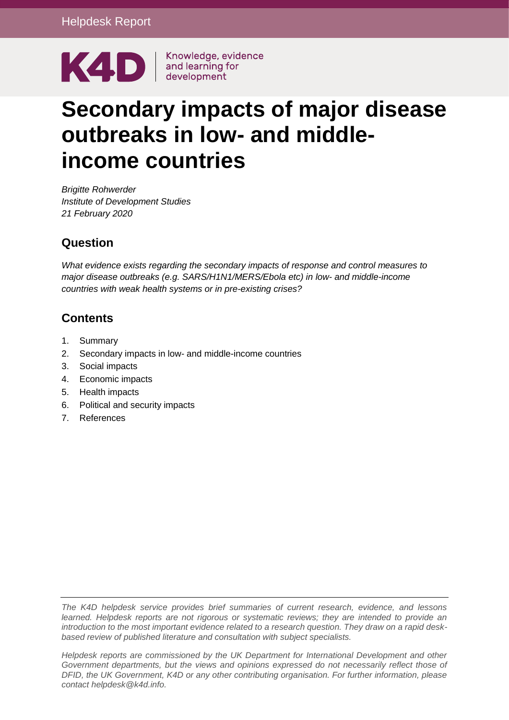

# **Secondary impacts of major disease outbreaks in low- and middleincome countries**

*Brigitte Rohwerder Institute of Development Studies 21 February 2020*

## **Question**

*What evidence exists regarding the secondary impacts of response and control measures to major disease outbreaks (e.g. SARS/H1N1/MERS/Ebola etc) in low- and middle-income countries with weak health systems or in pre-existing crises?*

## **Contents**

- 1. [Summary](#page-1-0)
- 2. Secondary impacts in low- [and middle-income countries](#page-3-0)
- 3. [Social impacts](#page-3-1)
- 4. [Economic impacts](#page-8-0)
- 5. [Health impacts](#page-14-0)
- 6. [Political and security impacts](#page-18-0)
- 7. [References](#page-21-0)

*The K4D helpdesk service provides brief summaries of current research, evidence, and lessons learned. Helpdesk reports are not rigorous or systematic reviews; they are intended to provide an introduction to the most important evidence related to a research question. They draw on a rapid deskbased review of published literature and consultation with subject specialists.* 

*Helpdesk reports are commissioned by the UK Department for International Development and other Government departments, but the views and opinions expressed do not necessarily reflect those of DFID, the UK Government, K4D or any other contributing organisation. For further information, please contact helpdesk@k4d.info.*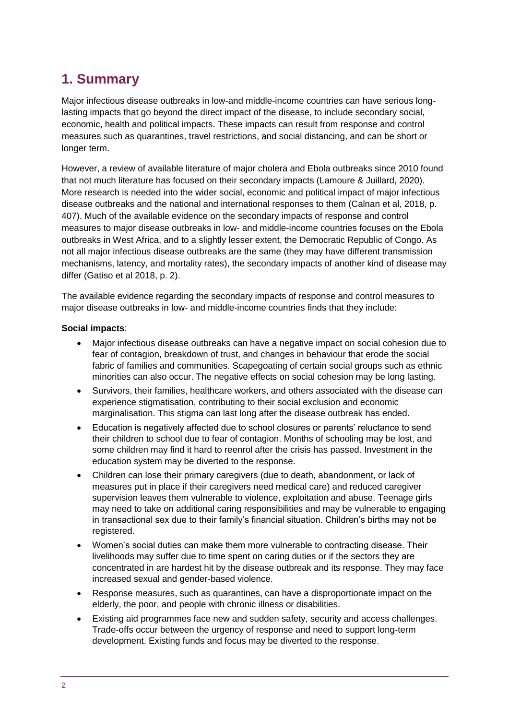# <span id="page-1-0"></span>**1. Summary**

Major infectious disease outbreaks in low-and middle-income countries can have serious longlasting impacts that go beyond the direct impact of the disease, to include secondary social, economic, health and political impacts. These impacts can result from response and control measures such as quarantines, travel restrictions, and social distancing, and can be short or longer term.

However, a review of available literature of major cholera and Ebola outbreaks since 2010 found that not much literature has focused on their secondary impacts (Lamoure & Juillard, 2020). More research is needed into the wider social, economic and political impact of major infectious disease outbreaks and the national and international responses to them (Calnan et al, 2018, p. 407). Much of the available evidence on the secondary impacts of response and control measures to major disease outbreaks in low- and middle-income countries focuses on the Ebola outbreaks in West Africa, and to a slightly lesser extent, the Democratic Republic of Congo. As not all major infectious disease outbreaks are the same (they may have different transmission mechanisms, latency, and mortality rates), the secondary impacts of another kind of disease may differ (Gatiso et al 2018, p. 2).

The available evidence regarding the secondary impacts of response and control measures to major disease outbreaks in low- and middle-income countries finds that they include:

#### **Social impacts**:

- Major infectious disease outbreaks can have a negative impact on social cohesion due to fear of contagion, breakdown of trust, and changes in behaviour that erode the social fabric of families and communities. Scapegoating of certain social groups such as ethnic minorities can also occur. The negative effects on social cohesion may be long lasting.
- Survivors, their families, healthcare workers, and others associated with the disease can experience stigmatisation, contributing to their social exclusion and economic marginalisation. This stigma can last long after the disease outbreak has ended.
- Education is negatively affected due to school closures or parents' reluctance to send their children to school due to fear of contagion. Months of schooling may be lost, and some children may find it hard to reenrol after the crisis has passed. Investment in the education system may be diverted to the response.
- Children can lose their primary caregivers (due to death, abandonment, or lack of measures put in place if their caregivers need medical care) and reduced caregiver supervision leaves them vulnerable to violence, exploitation and abuse. Teenage girls may need to take on additional caring responsibilities and may be vulnerable to engaging in transactional sex due to their family's financial situation. Children's births may not be registered.
- Women's social duties can make them more vulnerable to contracting disease. Their livelihoods may suffer due to time spent on caring duties or if the sectors they are concentrated in are hardest hit by the disease outbreak and its response. They may face increased sexual and gender-based violence.
- Response measures, such as quarantines, can have a disproportionate impact on the elderly, the poor, and people with chronic illness or disabilities.
- Existing aid programmes face new and sudden safety, security and access challenges. Trade-offs occur between the urgency of response and need to support long-term development. Existing funds and focus may be diverted to the response.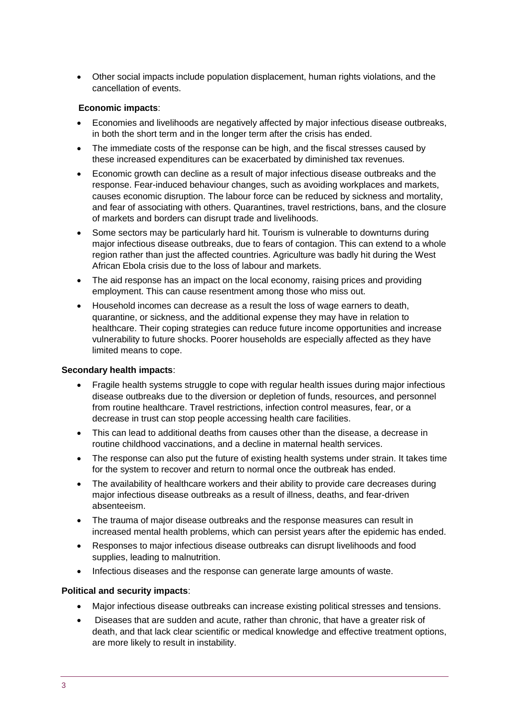Other social impacts include population displacement, human rights violations, and the cancellation of events.

#### **Economic impacts**:

- Economies and livelihoods are negatively affected by major infectious disease outbreaks, in both the short term and in the longer term after the crisis has ended.
- The immediate costs of the response can be high, and the fiscal stresses caused by these increased expenditures can be exacerbated by diminished tax revenues.
- Economic growth can decline as a result of major infectious disease outbreaks and the response. Fear-induced behaviour changes, such as avoiding workplaces and markets, causes economic disruption. The labour force can be reduced by sickness and mortality, and fear of associating with others. Quarantines, travel restrictions, bans, and the closure of markets and borders can disrupt trade and livelihoods.
- Some sectors may be particularly hard hit. Tourism is vulnerable to downturns during major infectious disease outbreaks, due to fears of contagion. This can extend to a whole region rather than just the affected countries. Agriculture was badly hit during the West African Ebola crisis due to the loss of labour and markets.
- The aid response has an impact on the local economy, raising prices and providing employment. This can cause resentment among those who miss out.
- Household incomes can decrease as a result the loss of wage earners to death, quarantine, or sickness, and the additional expense they may have in relation to healthcare. Their coping strategies can reduce future income opportunities and increase vulnerability to future shocks. Poorer households are especially affected as they have limited means to cope.

#### **Secondary health impacts**:

- Fragile health systems struggle to cope with regular health issues during major infectious disease outbreaks due to the diversion or depletion of funds, resources, and personnel from routine healthcare. Travel restrictions, infection control measures, fear, or a decrease in trust can stop people accessing health care facilities.
- This can lead to additional deaths from causes other than the disease, a decrease in routine childhood vaccinations, and a decline in maternal health services.
- The response can also put the future of existing health systems under strain. It takes time for the system to recover and return to normal once the outbreak has ended.
- The availability of healthcare workers and their ability to provide care decreases during major infectious disease outbreaks as a result of illness, deaths, and fear-driven absenteeism.
- The trauma of major disease outbreaks and the response measures can result in increased mental health problems, which can persist years after the epidemic has ended.
- Responses to major infectious disease outbreaks can disrupt livelihoods and food supplies, leading to malnutrition.
- Infectious diseases and the response can generate large amounts of waste.

#### **Political and security impacts**:

- Major infectious disease outbreaks can increase existing political stresses and tensions.
- Diseases that are sudden and acute, rather than chronic, that have a greater risk of death, and that lack clear scientific or medical knowledge and effective treatment options, are more likely to result in instability.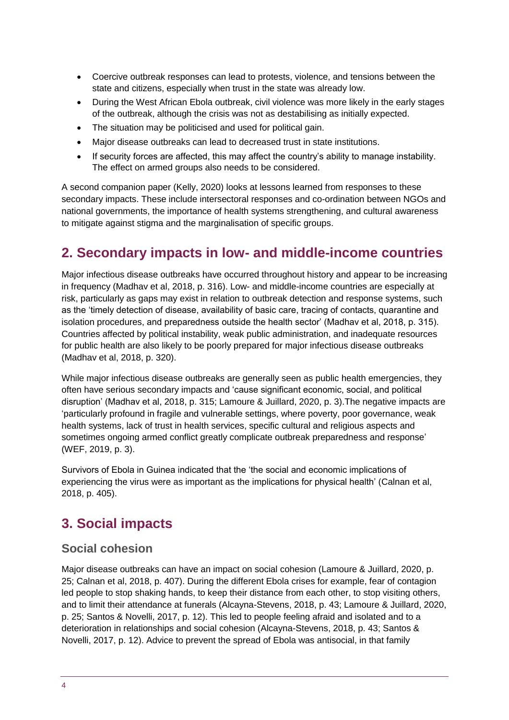- Coercive outbreak responses can lead to protests, violence, and tensions between the state and citizens, especially when trust in the state was already low.
- During the West African Ebola outbreak, civil violence was more likely in the early stages of the outbreak, although the crisis was not as destabilising as initially expected.
- The situation may be politicised and used for political gain.
- Major disease outbreaks can lead to decreased trust in state institutions.
- If security forces are affected, this may affect the country's ability to manage instability. The effect on armed groups also needs to be considered.

A second companion paper (Kelly, 2020) looks at lessons learned from responses to these secondary impacts. These include intersectoral responses and co-ordination between NGOs and national governments, the importance of health systems strengthening, and cultural awareness to mitigate against stigma and the marginalisation of specific groups.

## <span id="page-3-0"></span>**2. Secondary impacts in low- and middle-income countries**

Major infectious disease outbreaks have occurred throughout history and appear to be increasing in frequency (Madhav et al, 2018, p. 316). Low- and middle-income countries are especially at risk, particularly as gaps may exist in relation to outbreak detection and response systems, such as the 'timely detection of disease, availability of basic care, tracing of contacts, quarantine and isolation procedures, and preparedness outside the health sector' (Madhav et al, 2018, p. 315). Countries affected by political instability, weak public administration, and inadequate resources for public health are also likely to be poorly prepared for major infectious disease outbreaks (Madhav et al, 2018, p. 320).

While major infectious disease outbreaks are generally seen as public health emergencies, they often have serious secondary impacts and 'cause significant economic, social, and political disruption' (Madhav et al, 2018, p. 315; Lamoure & Juillard, 2020, p. 3).The negative impacts are 'particularly profound in fragile and vulnerable settings, where poverty, poor governance, weak health systems, lack of trust in health services, specific cultural and religious aspects and sometimes ongoing armed conflict greatly complicate outbreak preparedness and response' (WEF, 2019, p. 3).

Survivors of Ebola in Guinea indicated that the 'the social and economic implications of experiencing the virus were as important as the implications for physical health' (Calnan et al, 2018, p. 405).

## <span id="page-3-1"></span>**3. Social impacts**

#### **Social cohesion**

Major disease outbreaks can have an impact on social cohesion (Lamoure & Juillard, 2020, p. 25; Calnan et al, 2018, p. 407). During the different Ebola crises for example, fear of contagion led people to stop shaking hands, to keep their distance from each other, to stop visiting others, and to limit their attendance at funerals (Alcayna-Stevens, 2018, p. 43; Lamoure & Juillard, 2020, p. 25; Santos & Novelli, 2017, p. 12). This led to people feeling afraid and isolated and to a deterioration in relationships and social cohesion (Alcayna-Stevens, 2018, p. 43; Santos & Novelli, 2017, p. 12). Advice to prevent the spread of Ebola was antisocial, in that family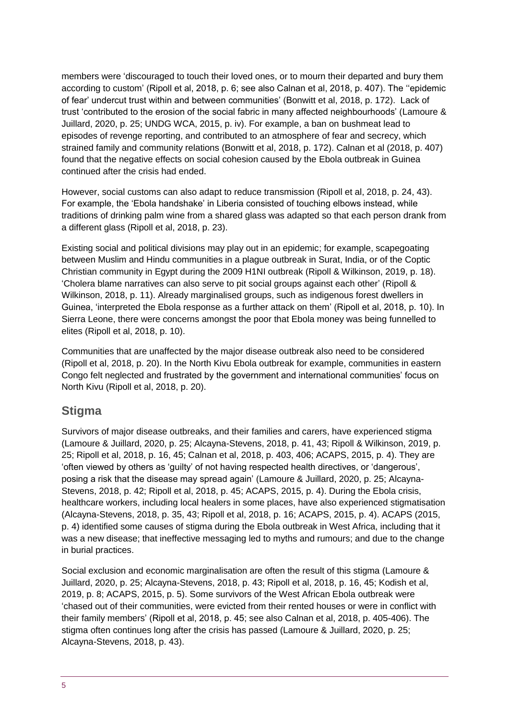members were 'discouraged to touch their loved ones, or to mourn their departed and bury them according to custom' (Ripoll et al, 2018, p. 6; see also Calnan et al, 2018, p. 407). The ''epidemic of fear' undercut trust within and between communities' (Bonwitt et al, 2018, p. 172). Lack of trust 'contributed to the erosion of the social fabric in many affected neighbourhoods' (Lamoure & Juillard, 2020, p. 25; UNDG WCA, 2015, p. iv). For example, a ban on bushmeat lead to episodes of revenge reporting, and contributed to an atmosphere of fear and secrecy, which strained family and community relations (Bonwitt et al, 2018, p. 172). Calnan et al (2018, p. 407) found that the negative effects on social cohesion caused by the Ebola outbreak in Guinea continued after the crisis had ended.

However, social customs can also adapt to reduce transmission (Ripoll et al, 2018, p. 24, 43). For example, the 'Ebola handshake' in Liberia consisted of touching elbows instead, while traditions of drinking palm wine from a shared glass was adapted so that each person drank from a different glass (Ripoll et al, 2018, p. 23).

Existing social and political divisions may play out in an epidemic; for example, scapegoating between Muslim and Hindu communities in a plague outbreak in Surat, India, or of the Coptic Christian community in Egypt during the 2009 H1NI outbreak (Ripoll & Wilkinson, 2019, p. 18). 'Cholera blame narratives can also serve to pit social groups against each other' (Ripoll & Wilkinson, 2018, p. 11). Already marginalised groups, such as indigenous forest dwellers in Guinea, 'interpreted the Ebola response as a further attack on them' (Ripoll et al, 2018, p. 10). In Sierra Leone, there were concerns amongst the poor that Ebola money was being funnelled to elites (Ripoll et al, 2018, p. 10).

Communities that are unaffected by the major disease outbreak also need to be considered (Ripoll et al, 2018, p. 20). In the North Kivu Ebola outbreak for example, communities in eastern Congo felt neglected and frustrated by the government and international communities' focus on North Kivu (Ripoll et al, 2018, p. 20).

#### **Stigma**

Survivors of major disease outbreaks, and their families and carers, have experienced stigma (Lamoure & Juillard, 2020, p. 25; Alcayna-Stevens, 2018, p. 41, 43; Ripoll & Wilkinson, 2019, p. 25; Ripoll et al, 2018, p. 16, 45; Calnan et al, 2018, p. 403, 406; ACAPS, 2015, p. 4). They are 'often viewed by others as 'guilty' of not having respected health directives, or 'dangerous', posing a risk that the disease may spread again' (Lamoure & Juillard, 2020, p. 25; Alcayna-Stevens, 2018, p. 42; Ripoll et al, 2018, p. 45; ACAPS, 2015, p. 4). During the Ebola crisis, healthcare workers, including local healers in some places, have also experienced stigmatisation (Alcayna-Stevens, 2018, p. 35, 43; Ripoll et al, 2018, p. 16; ACAPS, 2015, p. 4). ACAPS (2015, p. 4) identified some causes of stigma during the Ebola outbreak in West Africa, including that it was a new disease; that ineffective messaging led to myths and rumours; and due to the change in burial practices.

Social exclusion and economic marginalisation are often the result of this stigma (Lamoure & Juillard, 2020, p. 25; Alcayna-Stevens, 2018, p. 43; Ripoll et al, 2018, p. 16, 45; Kodish et al, 2019, p. 8; ACAPS, 2015, p. 5). Some survivors of the West African Ebola outbreak were 'chased out of their communities, were evicted from their rented houses or were in conflict with their family members' (Ripoll et al, 2018, p. 45; see also Calnan et al, 2018, p. 405-406). The stigma often continues long after the crisis has passed (Lamoure & Juillard, 2020, p. 25; Alcayna-Stevens, 2018, p. 43).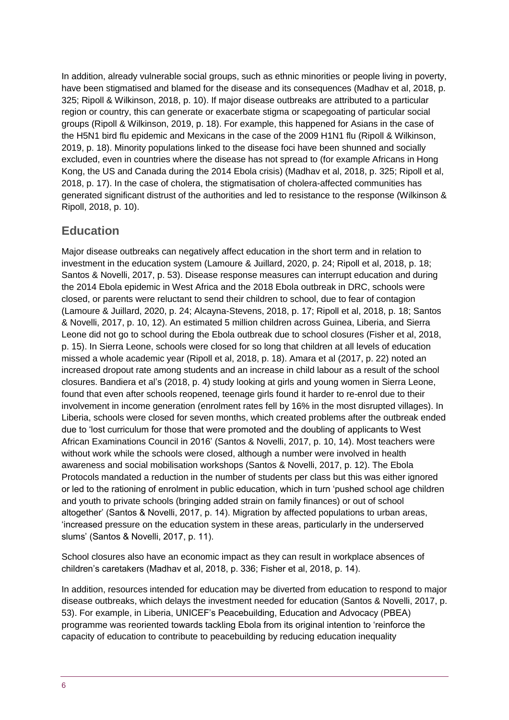In addition, already vulnerable social groups, such as ethnic minorities or people living in poverty, have been stigmatised and blamed for the disease and its consequences (Madhav et al, 2018, p. 325; Ripoll & Wilkinson, 2018, p. 10). If major disease outbreaks are attributed to a particular region or country, this can generate or exacerbate stigma or scapegoating of particular social groups (Ripoll & Wilkinson, 2019, p. 18). For example, this happened for Asians in the case of the H5N1 bird flu epidemic and Mexicans in the case of the 2009 H1N1 flu (Ripoll & Wilkinson, 2019, p. 18). Minority populations linked to the disease foci have been shunned and socially excluded, even in countries where the disease has not spread to (for example Africans in Hong Kong, the US and Canada during the 2014 Ebola crisis) (Madhav et al, 2018, p. 325; Ripoll et al, 2018, p. 17). In the case of cholera, the stigmatisation of cholera-affected communities has generated significant distrust of the authorities and led to resistance to the response (Wilkinson & Ripoll, 2018, p. 10).

#### **Education**

Major disease outbreaks can negatively affect education in the short term and in relation to investment in the education system (Lamoure & Juillard, 2020, p. 24; Ripoll et al, 2018, p. 18; Santos & Novelli, 2017, p. 53). Disease response measures can interrupt education and during the 2014 Ebola epidemic in West Africa and the 2018 Ebola outbreak in DRC, schools were closed, or parents were reluctant to send their children to school, due to fear of contagion (Lamoure & Juillard, 2020, p. 24; Alcayna-Stevens, 2018, p. 17; Ripoll et al, 2018, p. 18; Santos & Novelli, 2017, p. 10, 12). An estimated 5 million children across Guinea, Liberia, and Sierra Leone did not go to school during the Ebola outbreak due to school closures (Fisher et al, 2018, p. 15). In Sierra Leone, schools were closed for so long that children at all levels of education missed a whole academic year (Ripoll et al, 2018, p. 18). Amara et al (2017, p. 22) noted an increased dropout rate among students and an increase in child labour as a result of the school closures. Bandiera et al's (2018, p. 4) study looking at girls and young women in Sierra Leone, found that even after schools reopened, teenage girls found it harder to re-enrol due to their involvement in income generation (enrolment rates fell by 16% in the most disrupted villages). In Liberia, schools were closed for seven months, which created problems after the outbreak ended due to 'lost curriculum for those that were promoted and the doubling of applicants to West African Examinations Council in 2016' (Santos & Novelli, 2017, p. 10, 14). Most teachers were without work while the schools were closed, although a number were involved in health awareness and social mobilisation workshops (Santos & Novelli, 2017, p. 12). The Ebola Protocols mandated a reduction in the number of students per class but this was either ignored or led to the rationing of enrolment in public education, which in turn 'pushed school age children and youth to private schools (bringing added strain on family finances) or out of school altogether' (Santos & Novelli, 2017, p. 14). Migration by affected populations to urban areas, 'increased pressure on the education system in these areas, particularly in the underserved slums' (Santos & Novelli, 2017, p. 11).

School closures also have an economic impact as they can result in workplace absences of children's caretakers (Madhav et al, 2018, p. 336; Fisher et al, 2018, p. 14).

In addition, resources intended for education may be diverted from education to respond to major disease outbreaks, which delays the investment needed for education (Santos & Novelli, 2017, p. 53). For example, in Liberia, UNICEF's Peacebuilding, Education and Advocacy (PBEA) programme was reoriented towards tackling Ebola from its original intention to 'reinforce the capacity of education to contribute to peacebuilding by reducing education inequality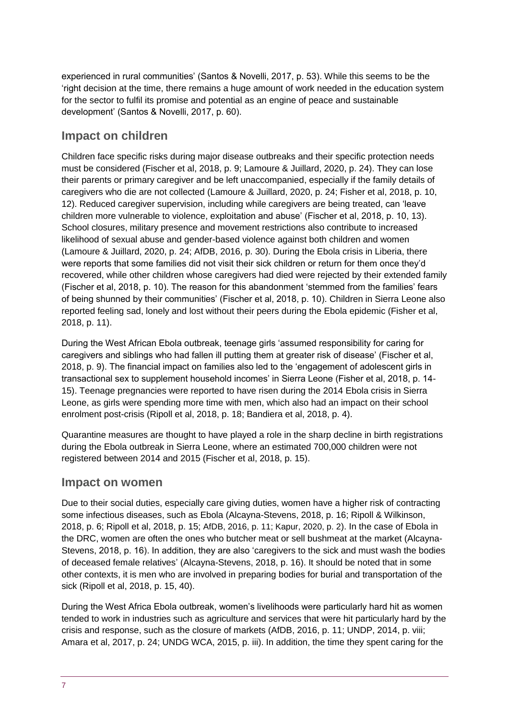experienced in rural communities' (Santos & Novelli, 2017, p. 53). While this seems to be the 'right decision at the time, there remains a huge amount of work needed in the education system for the sector to fulfil its promise and potential as an engine of peace and sustainable development' (Santos & Novelli, 2017, p. 60).

#### **Impact on children**

Children face specific risks during major disease outbreaks and their specific protection needs must be considered (Fischer et al, 2018, p. 9; Lamoure & Juillard, 2020, p. 24). They can lose their parents or primary caregiver and be left unaccompanied, especially if the family details of caregivers who die are not collected (Lamoure & Juillard, 2020, p. 24; Fisher et al, 2018, p. 10, 12). Reduced caregiver supervision, including while caregivers are being treated, can 'leave children more vulnerable to violence, exploitation and abuse' (Fischer et al, 2018, p. 10, 13). School closures, military presence and movement restrictions also contribute to increased likelihood of sexual abuse and gender-based violence against both children and women (Lamoure & Juillard, 2020, p. 24; AfDB, 2016, p. 30). During the Ebola crisis in Liberia, there were reports that some families did not visit their sick children or return for them once they'd recovered, while other children whose caregivers had died were rejected by their extended family (Fischer et al, 2018, p. 10). The reason for this abandonment 'stemmed from the families' fears of being shunned by their communities' (Fischer et al, 2018, p. 10). Children in Sierra Leone also reported feeling sad, lonely and lost without their peers during the Ebola epidemic (Fisher et al, 2018, p. 11).

During the West African Ebola outbreak, teenage girls 'assumed responsibility for caring for caregivers and siblings who had fallen ill putting them at greater risk of disease' (Fischer et al, 2018, p. 9). The financial impact on families also led to the 'engagement of adolescent girls in transactional sex to supplement household incomes' in Sierra Leone (Fisher et al, 2018, p. 14- 15). Teenage pregnancies were reported to have risen during the 2014 Ebola crisis in Sierra Leone, as girls were spending more time with men, which also had an impact on their school enrolment post-crisis (Ripoll et al, 2018, p. 18; Bandiera et al, 2018, p. 4).

Quarantine measures are thought to have played a role in the sharp decline in birth registrations during the Ebola outbreak in Sierra Leone, where an estimated 700,000 children were not registered between 2014 and 2015 (Fischer et al, 2018, p. 15).

#### **Impact on women**

Due to their social duties, especially care giving duties, women have a higher risk of contracting some infectious diseases, such as Ebola (Alcayna-Stevens, 2018, p. 16; Ripoll & Wilkinson, 2018, p. 6; Ripoll et al, 2018, p. 15; AfDB, 2016, p. 11; Kapur, 2020, p. 2). In the case of Ebola in the DRC, women are often the ones who butcher meat or sell bushmeat at the market (Alcayna-Stevens, 2018, p. 16). In addition, they are also 'caregivers to the sick and must wash the bodies of deceased female relatives' (Alcayna-Stevens, 2018, p. 16). It should be noted that in some other contexts, it is men who are involved in preparing bodies for burial and transportation of the sick (Ripoll et al, 2018, p. 15, 40).

During the West Africa Ebola outbreak, women's livelihoods were particularly hard hit as women tended to work in industries such as agriculture and services that were hit particularly hard by the crisis and response, such as the closure of markets (AfDB, 2016, p. 11; UNDP, 2014, p. viii; Amara et al, 2017, p. 24; UNDG WCA, 2015, p. iii). In addition, the time they spent caring for the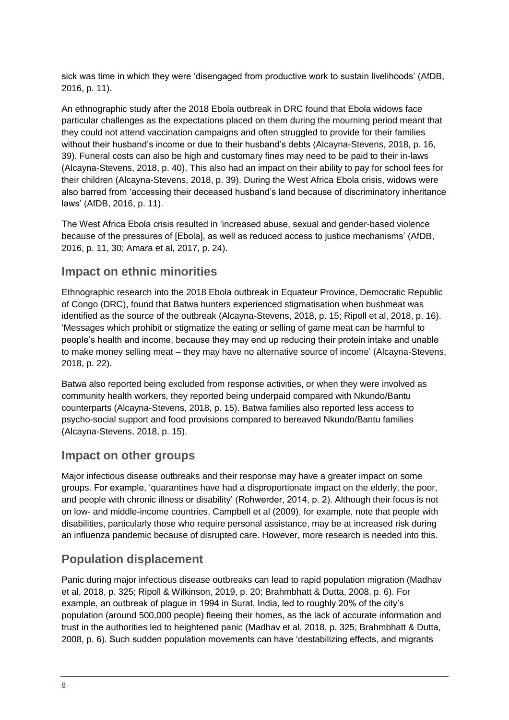sick was time in which they were 'disengaged from productive work to sustain livelihoods' (AfDB, 2016, p. 11).

An ethnographic study after the 2018 Ebola outbreak in DRC found that Ebola widows face particular challenges as the expectations placed on them during the mourning period meant that they could not attend vaccination campaigns and often struggled to provide for their families without their husband's income or due to their husband's debts (Alcayna-Stevens, 2018, p. 16, 39). Funeral costs can also be high and customary fines may need to be paid to their in-laws (Alcayna-Stevens, 2018, p. 40). This also had an impact on their ability to pay for school fees for their children (Alcayna-Stevens, 2018, p. 39). During the West Africa Ebola crisis, widows were also barred from 'accessing their deceased husband's land because of discriminatory inheritance laws' (AfDB, 2016, p. 11).

The West Africa Ebola crisis resulted in 'increased abuse, sexual and gender-based violence because of the pressures of [Ebola], as well as reduced access to justice mechanisms' (AfDB, 2016, p. 11, 30; Amara et al, 2017, p. 24).

#### **Impact on ethnic minorities**

Ethnographic research into the 2018 Ebola outbreak in Equateur Province, Democratic Republic of Congo (DRC), found that Batwa hunters experienced stigmatisation when bushmeat was identified as the source of the outbreak (Alcayna-Stevens, 2018, p. 15; Ripoll et al, 2018, p. 16). 'Messages which prohibit or stigmatize the eating or selling of game meat can be harmful to people's health and income, because they may end up reducing their protein intake and unable to make money selling meat – they may have no alternative source of income' (Alcayna-Stevens, 2018, p. 22).

Batwa also reported being excluded from response activities, or when they were involved as community health workers, they reported being underpaid compared with Nkundo/Bantu counterparts (Alcayna-Stevens, 2018, p. 15). Batwa families also reported less access to psycho-social support and food provisions compared to bereaved Nkundo/Bantu families (Alcayna-Stevens, 2018, p. 15).

#### **Impact on other groups**

Major infectious disease outbreaks and their response may have a greater impact on some groups. For example, 'quarantines have had a disproportionate impact on the elderly, the poor, and people with chronic illness or disability' (Rohwerder, 2014, p. 2). Although their focus is not on low- and middle-income countries, Campbell et al (2009), for example, note that people with disabilities, particularly those who require personal assistance, may be at increased risk during an influenza pandemic because of disrupted care. However, more research is needed into this.

#### **Population displacement**

Panic during major infectious disease outbreaks can lead to rapid population migration (Madhav et al, 2018, p. 325; Ripoll & Wilkinson, 2019, p. 20; Brahmbhatt & Dutta, 2008, p. 6). For example, an outbreak of plague in 1994 in Surat, India, led to roughly 20% of the city's population (around 500,000 people) fleeing their homes, as the lack of accurate information and trust in the authorities led to heightened panic (Madhav et al, 2018, p. 325; Brahmbhatt & Dutta, 2008, p. 6). Such sudden population movements can have 'destabilizing effects, and migrants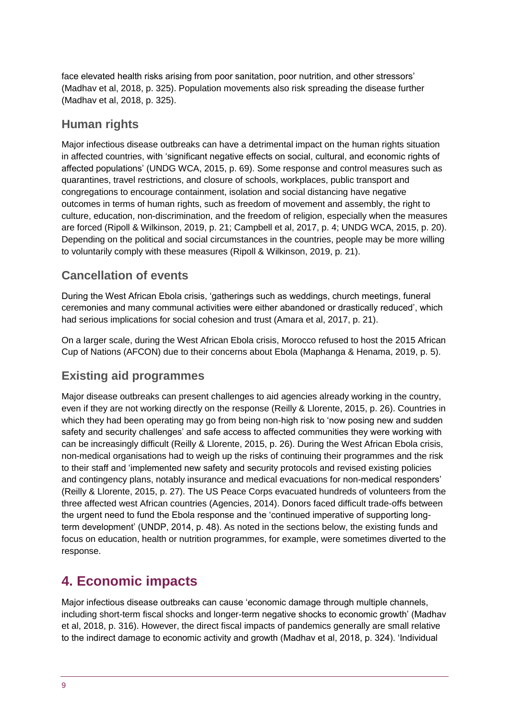face elevated health risks arising from poor sanitation, poor nutrition, and other stressors' (Madhav et al, 2018, p. 325). Population movements also risk spreading the disease further (Madhav et al, 2018, p. 325).

#### **Human rights**

Major infectious disease outbreaks can have a detrimental impact on the human rights situation in affected countries, with 'significant negative effects on social, cultural, and economic rights of affected populations' (UNDG WCA, 2015, p. 69). Some response and control measures such as quarantines, travel restrictions, and closure of schools, workplaces, public transport and congregations to encourage containment, isolation and social distancing have negative outcomes in terms of human rights, such as freedom of movement and assembly, the right to culture, education, non-discrimination, and the freedom of religion, especially when the measures are forced (Ripoll & Wilkinson, 2019, p. 21; Campbell et al, 2017, p. 4; UNDG WCA, 2015, p. 20). Depending on the political and social circumstances in the countries, people may be more willing to voluntarily comply with these measures (Ripoll & Wilkinson, 2019, p. 21).

#### **Cancellation of events**

During the West African Ebola crisis, 'gatherings such as weddings, church meetings, funeral ceremonies and many communal activities were either abandoned or drastically reduced', which had serious implications for social cohesion and trust (Amara et al, 2017, p. 21).

On a larger scale, during the West African Ebola crisis, Morocco refused to host the 2015 African Cup of Nations (AFCON) due to their concerns about Ebola (Maphanga & Henama, 2019, p. 5).

#### **Existing aid programmes**

Major disease outbreaks can present challenges to aid agencies already working in the country, even if they are not working directly on the response (Reilly & Llorente, 2015, p. 26). Countries in which they had been operating may go from being non-high risk to 'now posing new and sudden safety and security challenges' and safe access to affected communities they were working with can be increasingly difficult (Reilly & Llorente, 2015, p. 26). During the West African Ebola crisis, non-medical organisations had to weigh up the risks of continuing their programmes and the risk to their staff and 'implemented new safety and security protocols and revised existing policies and contingency plans, notably insurance and medical evacuations for non-medical responders' (Reilly & Llorente, 2015, p. 27). The US Peace Corps evacuated hundreds of volunteers from the three affected west African countries (Agencies, 2014). Donors faced difficult trade-offs between the urgent need to fund the Ebola response and the 'continued imperative of supporting longterm development' (UNDP, 2014, p. 48). As noted in the sections below, the existing funds and focus on education, health or nutrition programmes, for example, were sometimes diverted to the response.

## <span id="page-8-0"></span>**4. Economic impacts**

Major infectious disease outbreaks can cause 'economic damage through multiple channels, including short-term fiscal shocks and longer-term negative shocks to economic growth' (Madhav et al, 2018, p. 316). However, the direct fiscal impacts of pandemics generally are small relative to the indirect damage to economic activity and growth (Madhav et al, 2018, p. 324). 'Individual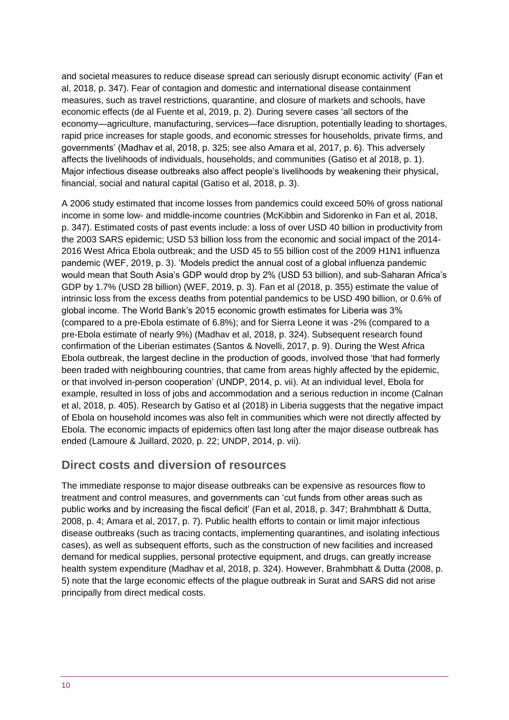and societal measures to reduce disease spread can seriously disrupt economic activity' (Fan et al, 2018, p. 347). Fear of contagion and domestic and international disease containment measures, such as travel restrictions, quarantine, and closure of markets and schools, have economic effects (de al Fuente et al, 2019, p. 2). During severe cases 'all sectors of the economy—agriculture, manufacturing, services—face disruption, potentially leading to shortages, rapid price increases for staple goods, and economic stresses for households, private firms, and governments' (Madhav et al, 2018, p. 325; see also Amara et al, 2017, p. 6). This adversely affects the livelihoods of individuals, households, and communities (Gatiso et al 2018, p. 1). Major infectious disease outbreaks also affect people's livelihoods by weakening their physical, financial, social and natural capital (Gatiso et al, 2018, p. 3).

A 2006 study estimated that income losses from pandemics could exceed 50% of gross national income in some low- and middle-income countries (McKibbin and Sidorenko in Fan et al, 2018, p. 347). Estimated costs of past events include: a loss of over USD 40 billion in productivity from the 2003 SARS epidemic; USD 53 billion loss from the economic and social impact of the 2014- 2016 West Africa Ebola outbreak; and the USD 45 to 55 billion cost of the 2009 H1N1 influenza pandemic (WEF, 2019, p. 3). 'Models predict the annual cost of a global influenza pandemic would mean that South Asia's GDP would drop by 2% (USD 53 billion), and sub-Saharan Africa's GDP by 1.7% (USD 28 billion) (WEF, 2019, p. 3). Fan et al (2018, p. 355) estimate the value of intrinsic loss from the excess deaths from potential pandemics to be USD 490 billion, or 0.6% of global income. The World Bank's 2015 economic growth estimates for Liberia was 3% (compared to a pre-Ebola estimate of 6.8%); and for Sierra Leone it was -2% (compared to a pre-Ebola estimate of nearly 9%) (Madhav et al, 2018, p. 324). Subsequent research found confirmation of the Liberian estimates (Santos & Novelli, 2017, p. 9). During the West Africa Ebola outbreak, the largest decline in the production of goods, involved those 'that had formerly been traded with neighbouring countries, that came from areas highly affected by the epidemic, or that involved in-person cooperation' (UNDP, 2014, p. vii). At an individual level, Ebola for example, resulted in loss of jobs and accommodation and a serious reduction in income (Calnan et al, 2018, p. 405). Research by Gatiso et al (2018) in Liberia suggests that the negative impact of Ebola on household incomes was also felt in communities which were not directly affected by Ebola. The economic impacts of epidemics often last long after the major disease outbreak has ended (Lamoure & Juillard, 2020, p. 22; UNDP, 2014, p. vii).

#### **Direct costs and diversion of resources**

The immediate response to major disease outbreaks can be expensive as resources flow to treatment and control measures, and governments can 'cut funds from other areas such as public works and by increasing the fiscal deficit' (Fan et al, 2018, p. 347; Brahmbhatt & Dutta, 2008, p. 4; Amara et al, 2017, p. 7). Public health efforts to contain or limit major infectious disease outbreaks (such as tracing contacts, implementing quarantines, and isolating infectious cases), as well as subsequent efforts, such as the construction of new facilities and increased demand for medical supplies, personal protective equipment, and drugs, can greatly increase health system expenditure (Madhav et al, 2018, p. 324). However, Brahmbhatt & Dutta (2008, p. 5) note that the large economic effects of the plague outbreak in Surat and SARS did not arise principally from direct medical costs.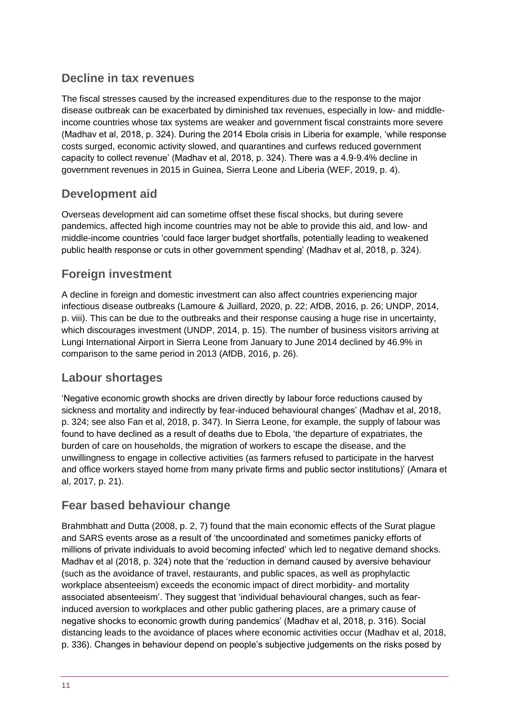#### **Decline in tax revenues**

The fiscal stresses caused by the increased expenditures due to the response to the major disease outbreak can be exacerbated by diminished tax revenues, especially in low- and middleincome countries whose tax systems are weaker and government fiscal constraints more severe (Madhav et al, 2018, p. 324). During the 2014 Ebola crisis in Liberia for example, 'while response costs surged, economic activity slowed, and quarantines and curfews reduced government capacity to collect revenue' (Madhav et al, 2018, p. 324). There was a 4.9-9.4% decline in government revenues in 2015 in Guinea, Sierra Leone and Liberia (WEF, 2019, p. 4).

#### **Development aid**

Overseas development aid can sometime offset these fiscal shocks, but during severe pandemics, affected high income countries may not be able to provide this aid, and low- and middle-income countries 'could face larger budget shortfalls, potentially leading to weakened public health response or cuts in other government spending' (Madhav et al, 2018, p. 324).

#### **Foreign investment**

A decline in foreign and domestic investment can also affect countries experiencing major infectious disease outbreaks (Lamoure & Juillard, 2020, p. 22; AfDB, 2016, p. 26; UNDP, 2014, p. viii). This can be due to the outbreaks and their response causing a huge rise in uncertainty, which discourages investment (UNDP, 2014, p. 15). The number of business visitors arriving at Lungi International Airport in Sierra Leone from January to June 2014 declined by 46.9% in comparison to the same period in 2013 (AfDB, 2016, p. 26).

## **Labour shortages**

'Negative economic growth shocks are driven directly by labour force reductions caused by sickness and mortality and indirectly by fear-induced behavioural changes' (Madhav et al, 2018, p. 324; see also Fan et al, 2018, p. 347). In Sierra Leone, for example, the supply of labour was found to have declined as a result of deaths due to Ebola, 'the departure of expatriates, the burden of care on households, the migration of workers to escape the disease, and the unwillingness to engage in collective activities (as farmers refused to participate in the harvest and office workers stayed home from many private firms and public sector institutions)' (Amara et al, 2017, p. 21).

## **Fear based behaviour change**

Brahmbhatt and Dutta (2008, p. 2, 7) found that the main economic effects of the Surat plague and SARS events arose as a result of 'the uncoordinated and sometimes panicky efforts of millions of private individuals to avoid becoming infected' which led to negative demand shocks. Madhav et al (2018, p. 324) note that the 'reduction in demand caused by aversive behaviour (such as the avoidance of travel, restaurants, and public spaces, as well as prophylactic workplace absenteeism) exceeds the economic impact of direct morbidity- and mortality associated absenteeism'. They suggest that 'individual behavioural changes, such as fearinduced aversion to workplaces and other public gathering places, are a primary cause of negative shocks to economic growth during pandemics' (Madhav et al, 2018, p. 316). Social distancing leads to the avoidance of places where economic activities occur (Madhav et al, 2018, p. 336). Changes in behaviour depend on people's subjective judgements on the risks posed by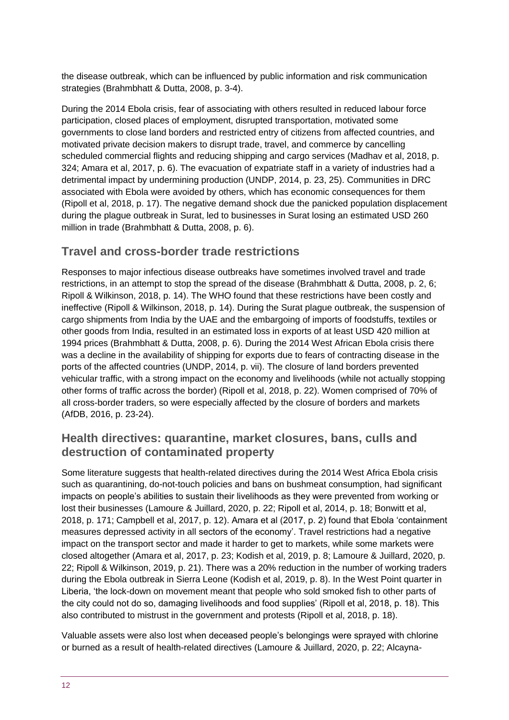the disease outbreak, which can be influenced by public information and risk communication strategies (Brahmbhatt & Dutta, 2008, p. 3-4).

During the 2014 Ebola crisis, fear of associating with others resulted in reduced labour force participation, closed places of employment, disrupted transportation, motivated some governments to close land borders and restricted entry of citizens from affected countries, and motivated private decision makers to disrupt trade, travel, and commerce by cancelling scheduled commercial flights and reducing shipping and cargo services (Madhav et al, 2018, p. 324; Amara et al, 2017, p. 6). The evacuation of expatriate staff in a variety of industries had a detrimental impact by undermining production (UNDP, 2014, p. 23, 25). Communities in DRC associated with Ebola were avoided by others, which has economic consequences for them (Ripoll et al, 2018, p. 17). The negative demand shock due the panicked population displacement during the plague outbreak in Surat, led to businesses in Surat losing an estimated USD 260 million in trade (Brahmbhatt & Dutta, 2008, p. 6).

#### **Travel and cross-border trade restrictions**

Responses to major infectious disease outbreaks have sometimes involved travel and trade restrictions, in an attempt to stop the spread of the disease (Brahmbhatt & Dutta, 2008, p. 2, 6; Ripoll & Wilkinson, 2018, p. 14). The WHO found that these restrictions have been costly and ineffective (Ripoll & Wilkinson, 2018, p. 14). During the Surat plague outbreak, the suspension of cargo shipments from India by the UAE and the embargoing of imports of foodstuffs, textiles or other goods from India, resulted in an estimated loss in exports of at least USD 420 million at 1994 prices (Brahmbhatt & Dutta, 2008, p. 6). During the 2014 West African Ebola crisis there was a decline in the availability of shipping for exports due to fears of contracting disease in the ports of the affected countries (UNDP, 2014, p. vii). The closure of land borders prevented vehicular traffic, with a strong impact on the economy and livelihoods (while not actually stopping other forms of traffic across the border) (Ripoll et al, 2018, p. 22). Women comprised of 70% of all cross-border traders, so were especially affected by the closure of borders and markets (AfDB, 2016, p. 23-24).

#### **Health directives: quarantine, market closures, bans, culls and destruction of contaminated property**

Some literature suggests that health-related directives during the 2014 West Africa Ebola crisis such as quarantining, do-not-touch policies and bans on bushmeat consumption, had significant impacts on people's abilities to sustain their livelihoods as they were prevented from working or lost their businesses (Lamoure & Juillard, 2020, p. 22; Ripoll et al, 2014, p. 18; Bonwitt et al, 2018, p. 171; Campbell et al, 2017, p. 12). Amara et al (2017, p. 2) found that Ebola 'containment measures depressed activity in all sectors of the economy'. Travel restrictions had a negative impact on the transport sector and made it harder to get to markets, while some markets were closed altogether (Amara et al, 2017, p. 23; Kodish et al, 2019, p. 8; Lamoure & Juillard, 2020, p. 22; Ripoll & Wilkinson, 2019, p. 21). There was a 20% reduction in the number of working traders during the Ebola outbreak in Sierra Leone (Kodish et al, 2019, p. 8). In the West Point quarter in Liberia, 'the lock-down on movement meant that people who sold smoked fish to other parts of the city could not do so, damaging livelihoods and food supplies' (Ripoll et al, 2018, p. 18). This also contributed to mistrust in the government and protests (Ripoll et al, 2018, p. 18).

Valuable assets were also lost when deceased people's belongings were sprayed with chlorine or burned as a result of health-related directives (Lamoure & Juillard, 2020, p. 22; Alcayna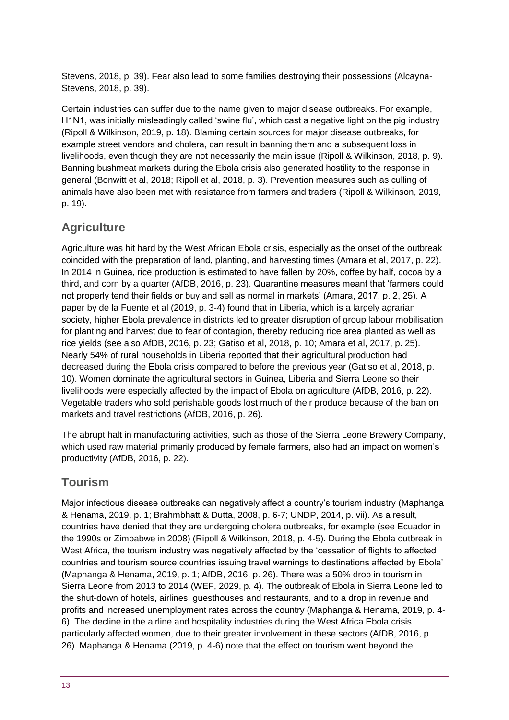Stevens, 2018, p. 39). Fear also lead to some families destroying their possessions (Alcayna-Stevens, 2018, p. 39).

Certain industries can suffer due to the name given to major disease outbreaks. For example, H1N1, was initially misleadingly called 'swine flu', which cast a negative light on the pig industry (Ripoll & Wilkinson, 2019, p. 18). Blaming certain sources for major disease outbreaks, for example street vendors and cholera, can result in banning them and a subsequent loss in livelihoods, even though they are not necessarily the main issue (Ripoll & Wilkinson, 2018, p. 9). Banning bushmeat markets during the Ebola crisis also generated hostility to the response in general (Bonwitt et al, 2018; Ripoll et al, 2018, p. 3). Prevention measures such as culling of animals have also been met with resistance from farmers and traders (Ripoll & Wilkinson, 2019, p. 19).

#### **Agriculture**

Agriculture was hit hard by the West African Ebola crisis, especially as the onset of the outbreak coincided with the preparation of land, planting, and harvesting times (Amara et al, 2017, p. 22). In 2014 in Guinea, rice production is estimated to have fallen by 20%, coffee by half, cocoa by a third, and corn by a quarter (AfDB, 2016, p. 23). Quarantine measures meant that 'farmers could not properly tend their fields or buy and sell as normal in markets' (Amara, 2017, p. 2, 25). A paper by de la Fuente et al (2019, p. 3-4) found that in Liberia, which is a largely agrarian society, higher Ebola prevalence in districts led to greater disruption of group labour mobilisation for planting and harvest due to fear of contagion, thereby reducing rice area planted as well as rice yields (see also AfDB, 2016, p. 23; Gatiso et al, 2018, p. 10; Amara et al, 2017, p. 25). Nearly 54% of rural households in Liberia reported that their agricultural production had decreased during the Ebola crisis compared to before the previous year (Gatiso et al, 2018, p. 10). Women dominate the agricultural sectors in Guinea, Liberia and Sierra Leone so their livelihoods were especially affected by the impact of Ebola on agriculture (AfDB, 2016, p. 22). Vegetable traders who sold perishable goods lost much of their produce because of the ban on markets and travel restrictions (AfDB, 2016, p. 26).

The abrupt halt in manufacturing activities, such as those of the Sierra Leone Brewery Company, which used raw material primarily produced by female farmers, also had an impact on women's productivity (AfDB, 2016, p. 22).

#### **Tourism**

Major infectious disease outbreaks can negatively affect a country's tourism industry (Maphanga & Henama, 2019, p. 1; Brahmbhatt & Dutta, 2008, p. 6-7; UNDP, 2014, p. vii). As a result, countries have denied that they are undergoing cholera outbreaks, for example (see Ecuador in the 1990s or Zimbabwe in 2008) (Ripoll & Wilkinson, 2018, p. 4-5). During the Ebola outbreak in West Africa, the tourism industry was negatively affected by the 'cessation of flights to affected countries and tourism source countries issuing travel warnings to destinations affected by Ebola' (Maphanga & Henama, 2019, p. 1; AfDB, 2016, p. 26). There was a 50% drop in tourism in Sierra Leone from 2013 to 2014 (WEF, 2029, p. 4). The outbreak of Ebola in Sierra Leone led to the shut-down of hotels, airlines, guesthouses and restaurants, and to a drop in revenue and profits and increased unemployment rates across the country (Maphanga & Henama, 2019, p. 4- 6). The decline in the airline and hospitality industries during the West Africa Ebola crisis particularly affected women, due to their greater involvement in these sectors (AfDB, 2016, p. 26). Maphanga & Henama (2019, p. 4-6) note that the effect on tourism went beyond the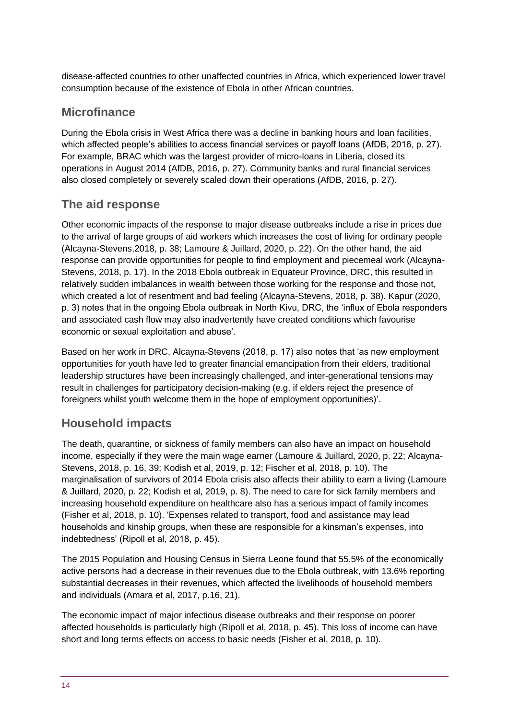disease-affected countries to other unaffected countries in Africa, which experienced lower travel consumption because of the existence of Ebola in other African countries.

#### **Microfinance**

During the Ebola crisis in West Africa there was a decline in banking hours and loan facilities, which affected people's abilities to access financial services or payoff loans (AfDB, 2016, p. 27). For example, BRAC which was the largest provider of micro-loans in Liberia, closed its operations in August 2014 (AfDB, 2016, p. 27). Community banks and rural financial services also closed completely or severely scaled down their operations (AfDB, 2016, p. 27).

#### **The aid response**

Other economic impacts of the response to major disease outbreaks include a rise in prices due to the arrival of large groups of aid workers which increases the cost of living for ordinary people (Alcayna-Stevens,2018, p. 38; Lamoure & Juillard, 2020, p. 22). On the other hand, the aid response can provide opportunities for people to find employment and piecemeal work (Alcayna-Stevens, 2018, p. 17). In the 2018 Ebola outbreak in Equateur Province, DRC, this resulted in relatively sudden imbalances in wealth between those working for the response and those not, which created a lot of resentment and bad feeling (Alcayna-Stevens, 2018, p. 38). Kapur (2020, p. 3) notes that in the ongoing Ebola outbreak in North Kivu, DRC, the 'influx of Ebola responders and associated cash flow may also inadvertently have created conditions which favourise economic or sexual exploitation and abuse'.

Based on her work in DRC, Alcayna-Stevens (2018, p. 17) also notes that 'as new employment opportunities for youth have led to greater financial emancipation from their elders, traditional leadership structures have been increasingly challenged, and inter-generational tensions may result in challenges for participatory decision-making (e.g. if elders reject the presence of foreigners whilst youth welcome them in the hope of employment opportunities)'.

## **Household impacts**

The death, quarantine, or sickness of family members can also have an impact on household income, especially if they were the main wage earner (Lamoure & Juillard, 2020, p. 22; Alcayna-Stevens, 2018, p. 16, 39; Kodish et al, 2019, p. 12; Fischer et al, 2018, p. 10). The marginalisation of survivors of 2014 Ebola crisis also affects their ability to earn a living (Lamoure & Juillard, 2020, p. 22; Kodish et al, 2019, p. 8). The need to care for sick family members and increasing household expenditure on healthcare also has a serious impact of family incomes (Fisher et al, 2018, p. 10). 'Expenses related to transport, food and assistance may lead households and kinship groups, when these are responsible for a kinsman's expenses, into indebtedness' (Ripoll et al, 2018, p. 45).

The 2015 Population and Housing Census in Sierra Leone found that 55.5% of the economically active persons had a decrease in their revenues due to the Ebola outbreak, with 13.6% reporting substantial decreases in their revenues, which affected the livelihoods of household members and individuals (Amara et al, 2017, p.16, 21).

The economic impact of major infectious disease outbreaks and their response on poorer affected households is particularly high (Ripoll et al, 2018, p. 45). This loss of income can have short and long terms effects on access to basic needs (Fisher et al, 2018, p. 10).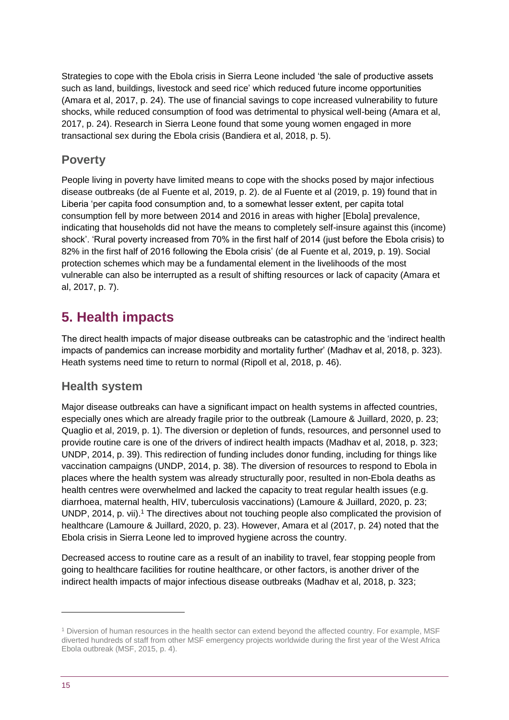Strategies to cope with the Ebola crisis in Sierra Leone included 'the sale of productive assets such as land, buildings, livestock and seed rice' which reduced future income opportunities (Amara et al, 2017, p. 24). The use of financial savings to cope increased vulnerability to future shocks, while reduced consumption of food was detrimental to physical well-being (Amara et al, 2017, p. 24). Research in Sierra Leone found that some young women engaged in more transactional sex during the Ebola crisis (Bandiera et al, 2018, p. 5).

#### **Poverty**

People living in poverty have limited means to cope with the shocks posed by major infectious disease outbreaks (de al Fuente et al, 2019, p. 2). de al Fuente et al (2019, p. 19) found that in Liberia 'per capita food consumption and, to a somewhat lesser extent, per capita total consumption fell by more between 2014 and 2016 in areas with higher [Ebola] prevalence, indicating that households did not have the means to completely self-insure against this (income) shock'. 'Rural poverty increased from 70% in the first half of 2014 (just before the Ebola crisis) to 82% in the first half of 2016 following the Ebola crisis' (de al Fuente et al, 2019, p. 19). Social protection schemes which may be a fundamental element in the livelihoods of the most vulnerable can also be interrupted as a result of shifting resources or lack of capacity (Amara et al, 2017, p. 7).

# <span id="page-14-0"></span>**5. Health impacts**

The direct health impacts of major disease outbreaks can be catastrophic and the 'indirect health impacts of pandemics can increase morbidity and mortality further' (Madhav et al, 2018, p. 323). Heath systems need time to return to normal (Ripoll et al, 2018, p. 46).

#### **Health system**

Major disease outbreaks can have a significant impact on health systems in affected countries, especially ones which are already fragile prior to the outbreak (Lamoure & Juillard, 2020, p. 23; Quaglio et al, 2019, p. 1). The diversion or depletion of funds, resources, and personnel used to provide routine care is one of the drivers of indirect health impacts (Madhav et al, 2018, p. 323; UNDP, 2014, p. 39). This redirection of funding includes donor funding, including for things like vaccination campaigns (UNDP, 2014, p. 38). The diversion of resources to respond to Ebola in places where the health system was already structurally poor, resulted in non-Ebola deaths as health centres were overwhelmed and lacked the capacity to treat regular health issues (e.g. diarrhoea, maternal health, HIV, tuberculosis vaccinations) (Lamoure & Juillard, 2020, p. 23; UNDP, 2014, p. vii).<sup>1</sup> The directives about not touching people also complicated the provision of healthcare (Lamoure & Juillard, 2020, p. 23). However, Amara et al (2017, p. 24) noted that the Ebola crisis in Sierra Leone led to improved hygiene across the country.

Decreased access to routine care as a result of an inability to travel, fear stopping people from going to healthcare facilities for routine healthcare, or other factors, is another driver of the indirect health impacts of major infectious disease outbreaks (Madhav et al, 2018, p. 323;

1

<sup>1</sup> Diversion of human resources in the health sector can extend beyond the affected country. For example, MSF diverted hundreds of staff from other MSF emergency projects worldwide during the first year of the West Africa Ebola outbreak (MSF, 2015, p. 4).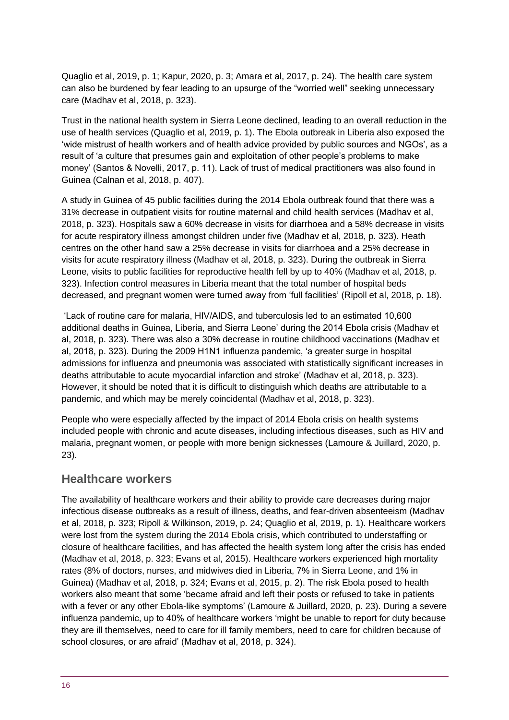Quaglio et al, 2019, p. 1; Kapur, 2020, p. 3; Amara et al, 2017, p. 24). The health care system can also be burdened by fear leading to an upsurge of the "worried well" seeking unnecessary care (Madhav et al, 2018, p. 323).

Trust in the national health system in Sierra Leone declined, leading to an overall reduction in the use of health services (Quaglio et al, 2019, p. 1). The Ebola outbreak in Liberia also exposed the 'wide mistrust of health workers and of health advice provided by public sources and NGOs', as a result of 'a culture that presumes gain and exploitation of other people's problems to make money' (Santos & Novelli, 2017, p. 11). Lack of trust of medical practitioners was also found in Guinea (Calnan et al, 2018, p. 407).

A study in Guinea of 45 public facilities during the 2014 Ebola outbreak found that there was a 31% decrease in outpatient visits for routine maternal and child health services (Madhav et al, 2018, p. 323). Hospitals saw a 60% decrease in visits for diarrhoea and a 58% decrease in visits for acute respiratory illness amongst children under five (Madhav et al, 2018, p. 323). Heath centres on the other hand saw a 25% decrease in visits for diarrhoea and a 25% decrease in visits for acute respiratory illness (Madhav et al, 2018, p. 323). During the outbreak in Sierra Leone, visits to public facilities for reproductive health fell by up to 40% (Madhav et al, 2018, p. 323). Infection control measures in Liberia meant that the total number of hospital beds decreased, and pregnant women were turned away from 'full facilities' (Ripoll et al, 2018, p. 18).

'Lack of routine care for malaria, HIV/AIDS, and tuberculosis led to an estimated 10,600 additional deaths in Guinea, Liberia, and Sierra Leone' during the 2014 Ebola crisis (Madhav et al, 2018, p. 323). There was also a 30% decrease in routine childhood vaccinations (Madhav et al, 2018, p. 323). During the 2009 H1N1 influenza pandemic, 'a greater surge in hospital admissions for influenza and pneumonia was associated with statistically significant increases in deaths attributable to acute myocardial infarction and stroke' (Madhav et al, 2018, p. 323). However, it should be noted that it is difficult to distinguish which deaths are attributable to a pandemic, and which may be merely coincidental (Madhav et al, 2018, p. 323).

People who were especially affected by the impact of 2014 Ebola crisis on health systems included people with chronic and acute diseases, including infectious diseases, such as HIV and malaria, pregnant women, or people with more benign sicknesses (Lamoure & Juillard, 2020, p. 23).

#### **Healthcare workers**

The availability of healthcare workers and their ability to provide care decreases during major infectious disease outbreaks as a result of illness, deaths, and fear-driven absenteeism (Madhav et al, 2018, p. 323; Ripoll & Wilkinson, 2019, p. 24; Quaglio et al, 2019, p. 1). Healthcare workers were lost from the system during the 2014 Ebola crisis, which contributed to understaffing or closure of healthcare facilities, and has affected the health system long after the crisis has ended (Madhav et al, 2018, p. 323; Evans et al, 2015). Healthcare workers experienced high mortality rates (8% of doctors, nurses, and midwives died in Liberia, 7% in Sierra Leone, and 1% in Guinea) (Madhav et al, 2018, p. 324; Evans et al, 2015, p. 2). The risk Ebola posed to health workers also meant that some 'became afraid and left their posts or refused to take in patients with a fever or any other Ebola-like symptoms' (Lamoure & Juillard, 2020, p. 23). During a severe influenza pandemic, up to 40% of healthcare workers 'might be unable to report for duty because they are ill themselves, need to care for ill family members, need to care for children because of school closures, or are afraid' (Madhav et al, 2018, p. 324).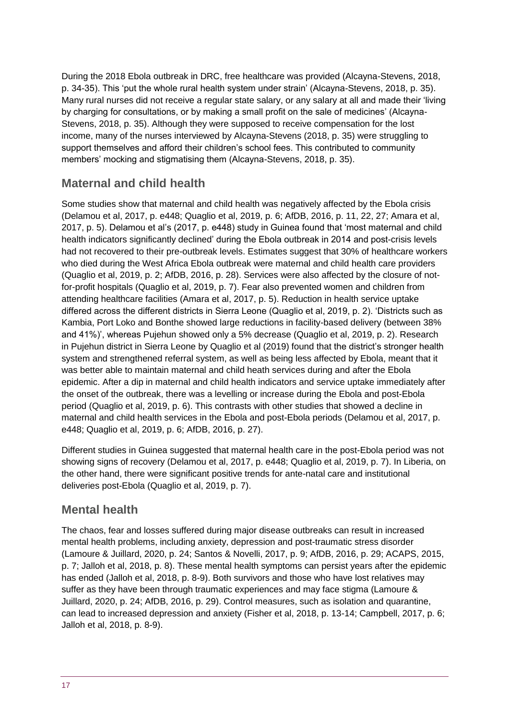During the 2018 Ebola outbreak in DRC, free healthcare was provided (Alcayna-Stevens, 2018, p. 34-35). This 'put the whole rural health system under strain' (Alcayna-Stevens, 2018, p. 35). Many rural nurses did not receive a regular state salary, or any salary at all and made their 'living by charging for consultations, or by making a small profit on the sale of medicines' (Alcayna-Stevens, 2018, p. 35). Although they were supposed to receive compensation for the lost income, many of the nurses interviewed by Alcayna-Stevens (2018, p. 35) were struggling to support themselves and afford their children's school fees. This contributed to community members' mocking and stigmatising them (Alcayna-Stevens, 2018, p. 35).

#### **Maternal and child health**

Some studies show that maternal and child health was negatively affected by the Ebola crisis (Delamou et al, 2017, p. e448; Quaglio et al, 2019, p. 6; AfDB, 2016, p. 11, 22, 27; Amara et al, 2017, p. 5). Delamou et al's (2017, p. e448) study in Guinea found that 'most maternal and child health indicators significantly declined' during the Ebola outbreak in 2014 and post-crisis levels had not recovered to their pre-outbreak levels. Estimates suggest that 30% of healthcare workers who died during the West Africa Ebola outbreak were maternal and child health care providers (Quaglio et al, 2019, p. 2; AfDB, 2016, p. 28). Services were also affected by the closure of notfor-profit hospitals (Quaglio et al, 2019, p. 7). Fear also prevented women and children from attending healthcare facilities (Amara et al, 2017, p. 5). Reduction in health service uptake differed across the different districts in Sierra Leone (Quaglio et al, 2019, p. 2). 'Districts such as Kambia, Port Loko and Bonthe showed large reductions in facility-based delivery (between 38% and 41%)', whereas Pujehun showed only a 5% decrease (Quaglio et al, 2019, p. 2). Research in Pujehun district in Sierra Leone by Quaglio et al (2019) found that the district's stronger health system and strengthened referral system, as well as being less affected by Ebola, meant that it was better able to maintain maternal and child heath services during and after the Ebola epidemic. After a dip in maternal and child health indicators and service uptake immediately after the onset of the outbreak, there was a levelling or increase during the Ebola and post-Ebola period (Quaglio et al, 2019, p. 6). This contrasts with other studies that showed a decline in maternal and child health services in the Ebola and post-Ebola periods (Delamou et al, 2017, p. e448; Quaglio et al, 2019, p. 6; AfDB, 2016, p. 27).

Different studies in Guinea suggested that maternal health care in the post-Ebola period was not showing signs of recovery (Delamou et al, 2017, p. e448; Quaglio et al, 2019, p. 7). In Liberia, on the other hand, there were significant positive trends for ante-natal care and institutional deliveries post-Ebola (Quaglio et al, 2019, p. 7).

#### **Mental health**

The chaos, fear and losses suffered during major disease outbreaks can result in increased mental health problems, including anxiety, depression and post-traumatic stress disorder (Lamoure & Juillard, 2020, p. 24; Santos & Novelli, 2017, p. 9; AfDB, 2016, p. 29; ACAPS, 2015, p. 7; Jalloh et al, 2018, p. 8). These mental health symptoms can persist years after the epidemic has ended (Jalloh et al, 2018, p. 8-9). Both survivors and those who have lost relatives may suffer as they have been through traumatic experiences and may face stigma (Lamoure & Juillard, 2020, p. 24; AfDB, 2016, p. 29). Control measures, such as isolation and quarantine, can lead to increased depression and anxiety (Fisher et al, 2018, p. 13-14; Campbell, 2017, p. 6; Jalloh et al, 2018, p. 8-9).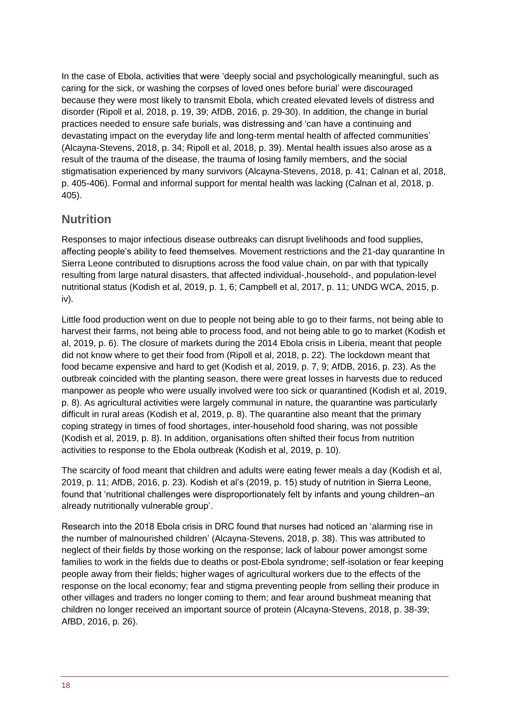In the case of Ebola, activities that were 'deeply social and psychologically meaningful, such as caring for the sick, or washing the corpses of loved ones before burial' were discouraged because they were most likely to transmit Ebola, which created elevated levels of distress and disorder (Ripoll et al, 2018, p. 19, 39; AfDB, 2016, p. 29-30). In addition, the change in burial practices needed to ensure safe burials, was distressing and 'can have a continuing and devastating impact on the everyday life and long-term mental health of affected communities' (Alcayna-Stevens, 2018, p. 34; Ripoll et al, 2018, p. 39). Mental health issues also arose as a result of the trauma of the disease, the trauma of losing family members, and the social stigmatisation experienced by many survivors (Alcayna-Stevens, 2018, p. 41; Calnan et al, 2018, p. 405-406). Formal and informal support for mental health was lacking (Calnan et al, 2018, p. 405).

#### **Nutrition**

Responses to major infectious disease outbreaks can disrupt livelihoods and food supplies, affecting people's ability to feed themselves. Movement restrictions and the 21-day quarantine In Sierra Leone contributed to disruptions across the food value chain, on par with that typically resulting from large natural disasters, that affected individual-,household-, and population-level nutritional status (Kodish et al, 2019, p. 1, 6; Campbell et al, 2017, p. 11; UNDG WCA, 2015, p. iv).

Little food production went on due to people not being able to go to their farms, not being able to harvest their farms, not being able to process food, and not being able to go to market (Kodish et al, 2019, p. 6). The closure of markets during the 2014 Ebola crisis in Liberia, meant that people did not know where to get their food from (Ripoll et al, 2018, p. 22). The lockdown meant that food became expensive and hard to get (Kodish et al, 2019, p. 7, 9; AfDB, 2016, p. 23). As the outbreak coincided with the planting season, there were great losses in harvests due to reduced manpower as people who were usually involved were too sick or quarantined (Kodish et al, 2019, p. 8). As agricultural activities were largely communal in nature, the quarantine was particularly difficult in rural areas (Kodish et al, 2019, p. 8). The quarantine also meant that the primary coping strategy in times of food shortages, inter-household food sharing, was not possible (Kodish et al, 2019, p. 8). In addition, organisations often shifted their focus from nutrition activities to response to the Ebola outbreak (Kodish et al, 2019, p. 10).

The scarcity of food meant that children and adults were eating fewer meals a day (Kodish et al, 2019, p. 11; AfDB, 2016, p. 23). Kodish et al's (2019, p. 15) study of nutrition in Sierra Leone, found that 'nutritional challenges were disproportionately felt by infants and young children–an already nutritionally vulnerable group'.

Research into the 2018 Ebola crisis in DRC found that nurses had noticed an 'alarming rise in the number of malnourished children' (Alcayna-Stevens, 2018, p. 38). This was attributed to neglect of their fields by those working on the response; lack of labour power amongst some families to work in the fields due to deaths or post-Ebola syndrome; self-isolation or fear keeping people away from their fields; higher wages of agricultural workers due to the effects of the response on the local economy; fear and stigma preventing people from selling their produce in other villages and traders no longer coming to them; and fear around bushmeat meaning that children no longer received an important source of protein (Alcayna-Stevens, 2018, p. 38-39; AfBD, 2016, p. 26).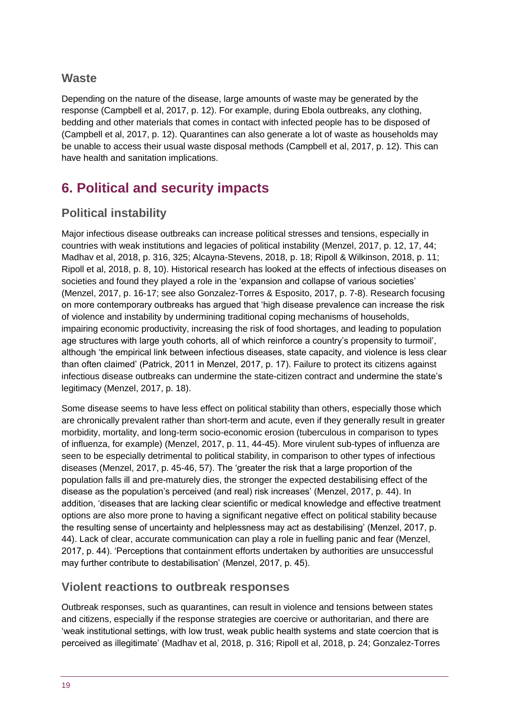#### **Waste**

Depending on the nature of the disease, large amounts of waste may be generated by the response (Campbell et al, 2017, p. 12). For example, during Ebola outbreaks, any clothing, bedding and other materials that comes in contact with infected people has to be disposed of (Campbell et al, 2017, p. 12). Quarantines can also generate a lot of waste as households may be unable to access their usual waste disposal methods (Campbell et al, 2017, p. 12). This can have health and sanitation implications.

# <span id="page-18-0"></span>**6. Political and security impacts**

## **Political instability**

Major infectious disease outbreaks can increase political stresses and tensions, especially in countries with weak institutions and legacies of political instability (Menzel, 2017, p. 12, 17, 44; Madhav et al, 2018, p. 316, 325; Alcayna-Stevens, 2018, p. 18; Ripoll & Wilkinson, 2018, p. 11; Ripoll et al, 2018, p. 8, 10). Historical research has looked at the effects of infectious diseases on societies and found they played a role in the 'expansion and collapse of various societies' (Menzel, 2017, p. 16-17; see also Gonzalez-Torres & Esposito, 2017, p. 7-8). Research focusing on more contemporary outbreaks has argued that 'high disease prevalence can increase the risk of violence and instability by undermining traditional coping mechanisms of households, impairing economic productivity, increasing the risk of food shortages, and leading to population age structures with large youth cohorts, all of which reinforce a country's propensity to turmoil', although 'the empirical link between infectious diseases, state capacity, and violence is less clear than often claimed' (Patrick, 2011 in Menzel, 2017, p. 17). Failure to protect its citizens against infectious disease outbreaks can undermine the state-citizen contract and undermine the state's legitimacy (Menzel, 2017, p. 18).

Some disease seems to have less effect on political stability than others, especially those which are chronically prevalent rather than short-term and acute, even if they generally result in greater morbidity, mortality, and long-term socio-economic erosion (tuberculous in comparison to types of influenza, for example) (Menzel, 2017, p. 11, 44-45). More virulent sub-types of influenza are seen to be especially detrimental to political stability, in comparison to other types of infectious diseases (Menzel, 2017, p. 45-46, 57). The 'greater the risk that a large proportion of the population falls ill and pre-maturely dies, the stronger the expected destabilising effect of the disease as the population's perceived (and real) risk increases' (Menzel, 2017, p. 44). In addition, 'diseases that are lacking clear scientific or medical knowledge and effective treatment options are also more prone to having a significant negative effect on political stability because the resulting sense of uncertainty and helplessness may act as destabilising' (Menzel, 2017, p. 44). Lack of clear, accurate communication can play a role in fuelling panic and fear (Menzel, 2017, p. 44). 'Perceptions that containment efforts undertaken by authorities are unsuccessful may further contribute to destabilisation' (Menzel, 2017, p. 45).

#### **Violent reactions to outbreak responses**

Outbreak responses, such as quarantines, can result in violence and tensions between states and citizens, especially if the response strategies are coercive or authoritarian, and there are 'weak institutional settings, with low trust, weak public health systems and state coercion that is perceived as illegitimate' (Madhav et al, 2018, p. 316; Ripoll et al, 2018, p. 24; Gonzalez-Torres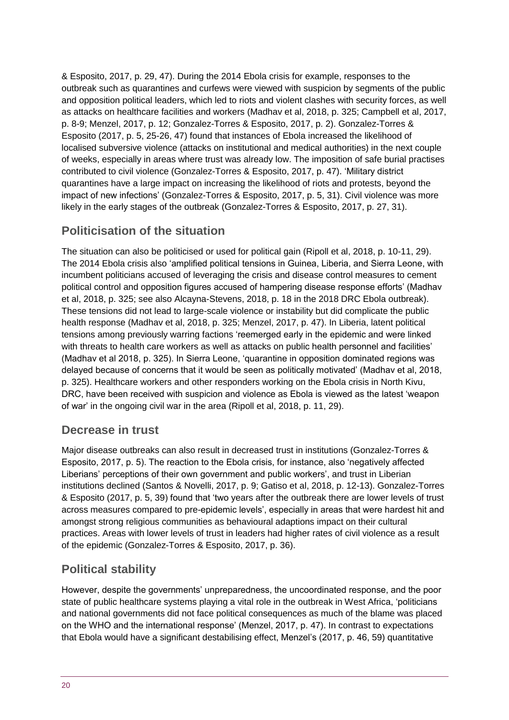& Esposito, 2017, p. 29, 47). During the 2014 Ebola crisis for example, responses to the outbreak such as quarantines and curfews were viewed with suspicion by segments of the public and opposition political leaders, which led to riots and violent clashes with security forces, as well as attacks on healthcare facilities and workers (Madhav et al, 2018, p. 325; Campbell et al, 2017, p. 8-9; Menzel, 2017, p. 12; Gonzalez-Torres & Esposito, 2017, p. 2). Gonzalez-Torres & Esposito (2017, p. 5, 25-26, 47) found that instances of Ebola increased the likelihood of localised subversive violence (attacks on institutional and medical authorities) in the next couple of weeks, especially in areas where trust was already low. The imposition of safe burial practises contributed to civil violence (Gonzalez-Torres & Esposito, 2017, p. 47). 'Military district quarantines have a large impact on increasing the likelihood of riots and protests, beyond the impact of new infections' (Gonzalez-Torres & Esposito, 2017, p. 5, 31). Civil violence was more likely in the early stages of the outbreak (Gonzalez-Torres & Esposito, 2017, p. 27, 31).

## **Politicisation of the situation**

The situation can also be politicised or used for political gain (Ripoll et al, 2018, p. 10-11, 29). The 2014 Ebola crisis also 'amplified political tensions in Guinea, Liberia, and Sierra Leone, with incumbent politicians accused of leveraging the crisis and disease control measures to cement political control and opposition figures accused of hampering disease response efforts' (Madhav et al, 2018, p. 325; see also Alcayna-Stevens, 2018, p. 18 in the 2018 DRC Ebola outbreak). These tensions did not lead to large-scale violence or instability but did complicate the public health response (Madhav et al, 2018, p. 325; Menzel, 2017, p. 47). In Liberia, latent political tensions among previously warring factions 'reemerged early in the epidemic and were linked with threats to health care workers as well as attacks on public health personnel and facilities' (Madhav et al 2018, p. 325). In Sierra Leone, 'quarantine in opposition dominated regions was delayed because of concerns that it would be seen as politically motivated' (Madhav et al, 2018, p. 325). Healthcare workers and other responders working on the Ebola crisis in North Kivu, DRC, have been received with suspicion and violence as Ebola is viewed as the latest 'weapon of war' in the ongoing civil war in the area (Ripoll et al, 2018, p. 11, 29).

#### **Decrease in trust**

Major disease outbreaks can also result in decreased trust in institutions (Gonzalez-Torres & Esposito, 2017, p. 5). The reaction to the Ebola crisis, for instance, also 'negatively affected Liberians' perceptions of their own government and public workers', and trust in Liberian institutions declined (Santos & Novelli, 2017, p. 9; Gatiso et al, 2018, p. 12-13). Gonzalez-Torres & Esposito (2017, p. 5, 39) found that 'two years after the outbreak there are lower levels of trust across measures compared to pre-epidemic levels', especially in areas that were hardest hit and amongst strong religious communities as behavioural adaptions impact on their cultural practices. Areas with lower levels of trust in leaders had higher rates of civil violence as a result of the epidemic (Gonzalez-Torres & Esposito, 2017, p. 36).

## **Political stability**

However, despite the governments' unpreparedness, the uncoordinated response, and the poor state of public healthcare systems playing a vital role in the outbreak in West Africa, 'politicians and national governments did not face political consequences as much of the blame was placed on the WHO and the international response' (Menzel, 2017, p. 47). In contrast to expectations that Ebola would have a significant destabilising effect, Menzel's (2017, p. 46, 59) quantitative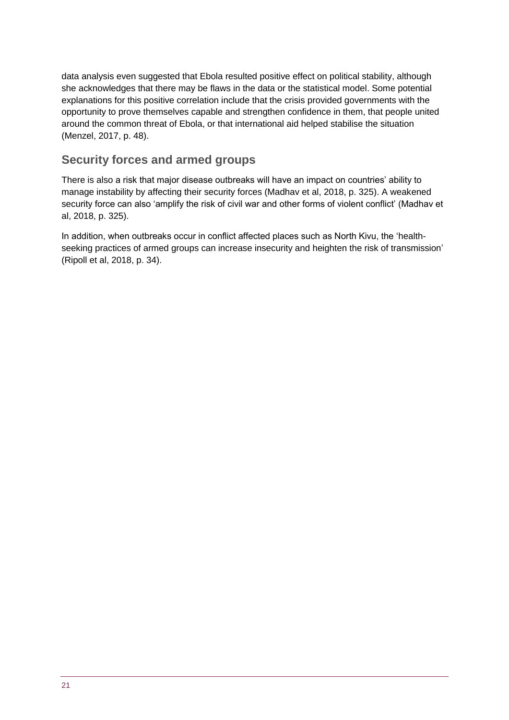data analysis even suggested that Ebola resulted positive effect on political stability, although she acknowledges that there may be flaws in the data or the statistical model. Some potential explanations for this positive correlation include that the crisis provided governments with the opportunity to prove themselves capable and strengthen confidence in them, that people united around the common threat of Ebola, or that international aid helped stabilise the situation (Menzel, 2017, p. 48).

#### **Security forces and armed groups**

There is also a risk that major disease outbreaks will have an impact on countries' ability to manage instability by affecting their security forces (Madhav et al, 2018, p. 325). A weakened security force can also 'amplify the risk of civil war and other forms of violent conflict' (Madhav et al, 2018, p. 325).

In addition, when outbreaks occur in conflict affected places such as North Kivu, the 'healthseeking practices of armed groups can increase insecurity and heighten the risk of transmission' (Ripoll et al, 2018, p. 34).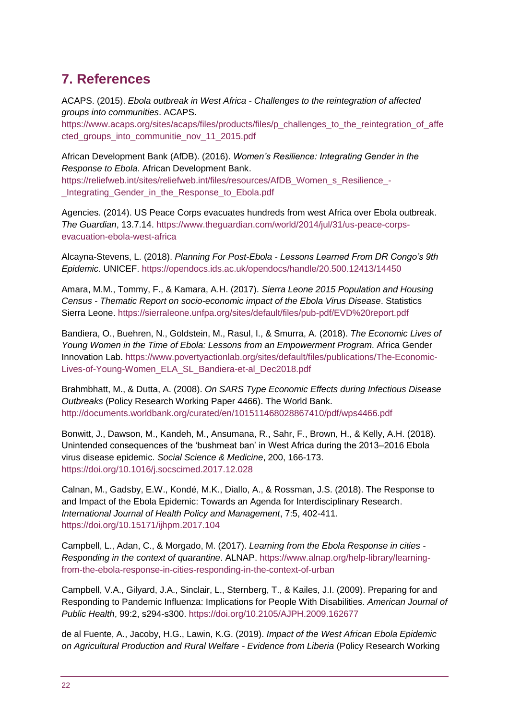# <span id="page-21-0"></span>**7. References**

ACAPS. (2015). *Ebola outbreak in West Africa - Challenges to the reintegration of affected groups into communities*. ACAPS.

[https://www.acaps.org/sites/acaps/files/products/files/p\\_challenges\\_to\\_the\\_reintegration\\_of\\_affe](https://www.acaps.org/sites/acaps/files/products/files/p_challenges_to_the_reintegration_of_affected_groups_into_communitie_nov_11_2015.pdf) [cted\\_groups\\_into\\_communitie\\_nov\\_11\\_2015.pdf](https://www.acaps.org/sites/acaps/files/products/files/p_challenges_to_the_reintegration_of_affected_groups_into_communitie_nov_11_2015.pdf)

African Development Bank (AfDB). (2016). *Women's Resilience: Integrating Gender in the Response to Ebola*. African Development Bank.

[https://reliefweb.int/sites/reliefweb.int/files/resources/AfDB\\_Women\\_s\\_Resilience\\_-](https://reliefweb.int/sites/reliefweb.int/files/resources/AfDB_Women_s_Resilience_-_Integrating_Gender_in_the_Response_to_Ebola.pdf) [\\_Integrating\\_Gender\\_in\\_the\\_Response\\_to\\_Ebola.pdf](https://reliefweb.int/sites/reliefweb.int/files/resources/AfDB_Women_s_Resilience_-_Integrating_Gender_in_the_Response_to_Ebola.pdf)

Agencies. (2014). US Peace Corps evacuates hundreds from west Africa over Ebola outbreak. *The Guardian*, 13.7.14. [https://www.theguardian.com/world/2014/jul/31/us-peace-corps](https://www.theguardian.com/world/2014/jul/31/us-peace-corps-evacuation-ebola-west-africa)[evacuation-ebola-west-africa](https://www.theguardian.com/world/2014/jul/31/us-peace-corps-evacuation-ebola-west-africa)

Alcayna-Stevens, L. (2018). *Planning For Post-Ebola - Lessons Learned From DR Congo's 9th Epidemic*. UNICEF.<https://opendocs.ids.ac.uk/opendocs/handle/20.500.12413/14450>

Amara, M.M., Tommy, F., & Kamara, A.H. (2017). *Sierra Leone 2015 Population and Housing Census - Thematic Report on socio-economic impact of the Ebola Virus Disease*. Statistics Sierra Leone.<https://sierraleone.unfpa.org/sites/default/files/pub-pdf/EVD%20report.pdf>

Bandiera, O., Buehren, N., Goldstein, M., Rasul, I., & Smurra, A. (2018). *The Economic Lives of Young Women in the Time of Ebola: Lessons from an Empowerment Program*. Africa Gender Innovation Lab. [https://www.povertyactionlab.org/sites/default/files/publications/The-Economic-](https://www.povertyactionlab.org/sites/default/files/publications/The-Economic-Lives-of-Young-Women_ELA_SL_Bandiera-et-al_Dec2018.pdf)[Lives-of-Young-Women\\_ELA\\_SL\\_Bandiera-et-al\\_Dec2018.pdf](https://www.povertyactionlab.org/sites/default/files/publications/The-Economic-Lives-of-Young-Women_ELA_SL_Bandiera-et-al_Dec2018.pdf)

Brahmbhatt, M., & Dutta, A. (2008). *On SARS Type Economic Effects during Infectious Disease Outbreaks* (Policy Research Working Paper 4466). The World Bank. <http://documents.worldbank.org/curated/en/101511468028867410/pdf/wps4466.pdf>

Bonwitt, J., Dawson, M., Kandeh, M., Ansumana, R., Sahr, F., Brown, H., & Kelly, A.H. (2018). Unintended consequences of the 'bushmeat ban' in West Africa during the 2013–2016 Ebola virus disease epidemic. *Social Science & Medicine*, 200, 166-173. <https://doi.org/10.1016/j.socscimed.2017.12.028>

Calnan, M., Gadsby, E.W., Kondé, M.K., Diallo, A., & Rossman, J.S. (2018). The Response to and Impact of the Ebola Epidemic: Towards an Agenda for Interdisciplinary Research. *International Journal of Health Policy and Management*, 7:5, 402-411. <https://doi.org/10.15171/ijhpm.2017.104>

Campbell, L., Adan, C., & Morgado, M. (2017). *Learning from the Ebola Response in cities - Responding in the context of quarantine*. ALNAP. [https://www.alnap.org/help-library/learning](https://www.alnap.org/help-library/learning-from-the-ebola-response-in-cities-responding-in-the-context-of-urban)[from-the-ebola-response-in-cities-responding-in-the-context-of-urban](https://www.alnap.org/help-library/learning-from-the-ebola-response-in-cities-responding-in-the-context-of-urban)

Campbell, V.A., Gilyard, J.A., Sinclair, L., Sternberg, T., & Kailes, J.I. (2009). Preparing for and Responding to Pandemic Influenza: Implications for People With Disabilities. *American Journal of Public Health*, 99:2, s294-s300. <https://doi.org/10.2105/AJPH.2009.162677>

de al Fuente, A., Jacoby, H.G., Lawin, K.G. (2019). *Impact of the West African Ebola Epidemic on Agricultural Production and Rural Welfare - Evidence from Liberia* (Policy Research Working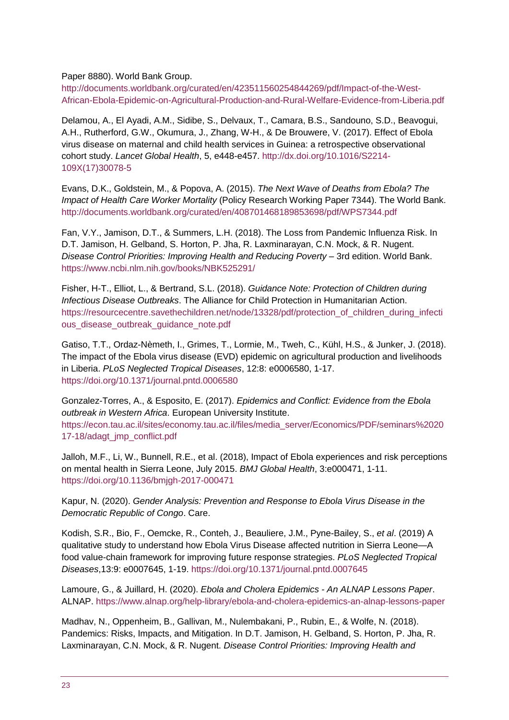Paper 8880). World Bank Group.

[http://documents.worldbank.org/curated/en/423511560254844269/pdf/Impact-of-the-West-](http://documents.worldbank.org/curated/en/423511560254844269/pdf/Impact-of-the-West-African-Ebola-Epidemic-on-Agricultural-Production-and-Rural-Welfare-Evidence-from-Liberia.pdf)[African-Ebola-Epidemic-on-Agricultural-Production-and-Rural-Welfare-Evidence-from-Liberia.pdf](http://documents.worldbank.org/curated/en/423511560254844269/pdf/Impact-of-the-West-African-Ebola-Epidemic-on-Agricultural-Production-and-Rural-Welfare-Evidence-from-Liberia.pdf)

Delamou, A., El Ayadi, A.M., Sidibe, S., Delvaux, T., Camara, B.S., Sandouno, S.D., Beavogui, A.H., Rutherford, G.W., Okumura, J., Zhang, W-H., & De Brouwere, V. (2017). Effect of Ebola virus disease on maternal and child health services in Guinea: a retrospective observational cohort study. *Lancet Global Health*, 5, e448-e457. [http://dx.doi.org/10.1016/S2214-](http://dx.doi.org/10.1016/S2214-109X(17)30078-5) [109X\(17\)30078-5](http://dx.doi.org/10.1016/S2214-109X(17)30078-5)

Evans, D.K., Goldstein, M., & Popova, A. (2015). *The Next Wave of Deaths from Ebola? The Impact of Health Care Worker Mortality* (Policy Research Working Paper 7344). The World Bank. <http://documents.worldbank.org/curated/en/408701468189853698/pdf/WPS7344.pdf>

Fan, V.Y., Jamison, D.T., & Summers, L.H. (2018). The Loss from Pandemic Influenza Risk. In D.T. Jamison, H. Gelband, S. Horton, P. Jha, R. Laxminarayan, C.N. Mock, & R. Nugent. *Disease Control Priorities: Improving Health and Reducing Poverty* – 3rd edition. World Bank. <https://www.ncbi.nlm.nih.gov/books/NBK525291/>

Fisher, H-T., Elliot, L., & Bertrand, S.L. (2018). *Guidance Note: Protection of Children during Infectious Disease Outbreaks*. The Alliance for Child Protection in Humanitarian Action. [https://resourcecentre.savethechildren.net/node/13328/pdf/protection\\_of\\_children\\_during\\_infecti](https://resourcecentre.savethechildren.net/node/13328/pdf/protection_of_children_during_infectious_disease_outbreak_guidance_note.pdf) ous disease outbreak quidance note.pdf

Gatiso, T.T., Ordaz-Nèmeth, I., Grimes, T., Lormie, M., Tweh, C., Kühl, H.S., & Junker, J. (2018). The impact of the Ebola virus disease (EVD) epidemic on agricultural production and livelihoods in Liberia. *PLoS Neglected Tropical Diseases*, 12:8: e0006580, 1-17. <https://doi.org/10.1371/journal.pntd.0006580>

Gonzalez-Torres, A., & Esposito, E. (2017). *Epidemics and Conflict: Evidence from the Ebola outbreak in Western Africa*. European University Institute. [https://econ.tau.ac.il/sites/economy.tau.ac.il/files/media\\_server/Economics/PDF/seminars%2020](https://econ.tau.ac.il/sites/economy.tau.ac.il/files/media_server/Economics/PDF/seminars%202017-18/adagt_jmp_conflict.pdf) [17-18/adagt\\_jmp\\_conflict.pdf](https://econ.tau.ac.il/sites/economy.tau.ac.il/files/media_server/Economics/PDF/seminars%202017-18/adagt_jmp_conflict.pdf)

Jalloh, M.F., Li, W., Bunnell, R.E., et al. (2018), Impact of Ebola experiences and risk perceptions on mental health in Sierra Leone, July 2015. *BMJ Global Health*, 3:e000471, 1-11. <https://doi.org/10.1136/bmjgh-2017-000471>

Kapur, N. (2020). *Gender Analysis: Prevention and Response to Ebola Virus Disease in the Democratic Republic of Congo*. Care.

Kodish, S.R., Bio, F., Oemcke, R., Conteh, J., Beauliere, J.M., Pyne-Bailey, S., *et al*. (2019) A qualitative study to understand how Ebola Virus Disease affected nutrition in Sierra Leone—A food value-chain framework for improving future response strategies. *PLoS Neglected Tropical Diseases*,13:9: e0007645, 1-19.<https://doi.org/10.1371/journal.pntd.0007645>

Lamoure, G., & Juillard, H. (2020). *Ebola and Cholera Epidemics - An ALNAP Lessons Paper*. ALNAP.<https://www.alnap.org/help-library/ebola-and-cholera-epidemics-an-alnap-lessons-paper>

Madhav, N., Oppenheim, B., Gallivan, M., Nulembakani, P., Rubin, E., & Wolfe, N. (2018). Pandemics: Risks, Impacts, and Mitigation. In D.T. Jamison, H. Gelband, S. Horton, P. Jha, R. Laxminarayan, C.N. Mock, & R. Nugent. *Disease Control Priorities: Improving Health and*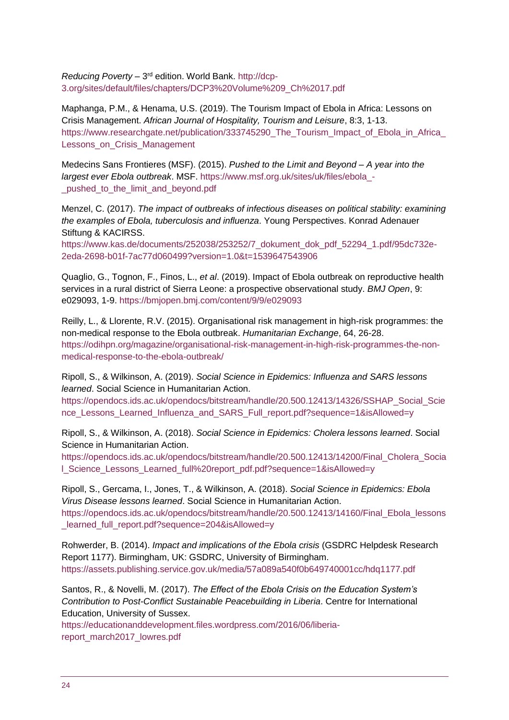Reducing Poverty - 3<sup>rd</sup> edition. World Bank. [http://dcp-](http://dcp-3.org/sites/default/files/chapters/DCP3%20Volume%209_Ch%2017.pdf)[3.org/sites/default/files/chapters/DCP3%20Volume%209\\_Ch%2017.pdf](http://dcp-3.org/sites/default/files/chapters/DCP3%20Volume%209_Ch%2017.pdf)

Maphanga, P.M., & Henama, U.S. (2019). The Tourism Impact of Ebola in Africa: Lessons on Crisis Management. *African Journal of Hospitality, Tourism and Leisure*, 8:3, 1-13. https://www.researchgate.net/publication/333745290 The Tourism Impact of Ebola in Africa Lessons on Crisis Management

Medecins Sans Frontieres (MSF). (2015). *Pushed to the Limit and Beyond – A year into the largest ever Ebola outbreak*. MSF. [https://www.msf.org.uk/sites/uk/files/ebola\\_](https://www.msf.org.uk/sites/uk/files/ebola_-_pushed_to_the_limit_and_beyond.pdf) pushed to the limit and beyond.pdf

Menzel, C. (2017). *The impact of outbreaks of infectious diseases on political stability: examining the examples of Ebola, tuberculosis and influenza*. Young Perspectives. Konrad Adenauer Stiftung & KACIRSS.

[https://www.kas.de/documents/252038/253252/7\\_dokument\\_dok\\_pdf\\_52294\\_1.pdf/95dc732e-](https://www.kas.de/documents/252038/253252/7_dokument_dok_pdf_52294_1.pdf/95dc732e-2eda-2698-b01f-7ac77d060499?version=1.0&t=1539647543906)[2eda-2698-b01f-7ac77d060499?version=1.0&t=1539647543906](https://www.kas.de/documents/252038/253252/7_dokument_dok_pdf_52294_1.pdf/95dc732e-2eda-2698-b01f-7ac77d060499?version=1.0&t=1539647543906)

Quaglio, G., Tognon, F., Finos, L., *et al*. (2019). Impact of Ebola outbreak on reproductive health services in a rural district of Sierra Leone: a prospective observational study. *BMJ Open*, 9: e029093, 1-9. <https://bmjopen.bmj.com/content/9/9/e029093>

Reilly, L., & Llorente, R.V. (2015). Organisational risk management in high-risk programmes: the non-medical response to the Ebola outbreak. *Humanitarian Exchange*, 64, 26-28. [https://odihpn.org/magazine/organisational-risk-management-in-high-risk-programmes-the-non](https://odihpn.org/magazine/organisational-risk-management-in-high-risk-programmes-the-non-medical-response-to-the-ebola-outbreak/)[medical-response-to-the-ebola-outbreak/](https://odihpn.org/magazine/organisational-risk-management-in-high-risk-programmes-the-non-medical-response-to-the-ebola-outbreak/)

Ripoll, S., & Wilkinson, A. (2019). *Social Science in Epidemics: Influenza and SARS lessons learned*. Social Science in Humanitarian Action.

[https://opendocs.ids.ac.uk/opendocs/bitstream/handle/20.500.12413/14326/SSHAP\\_Social\\_Scie](https://opendocs.ids.ac.uk/opendocs/bitstream/handle/20.500.12413/14326/SSHAP_Social_Science_Lessons_Learned_Influenza_and_SARS_Full_report.pdf?sequence=1&isAllowed=y) [nce\\_Lessons\\_Learned\\_Influenza\\_and\\_SARS\\_Full\\_report.pdf?sequence=1&isAllowed=y](https://opendocs.ids.ac.uk/opendocs/bitstream/handle/20.500.12413/14326/SSHAP_Social_Science_Lessons_Learned_Influenza_and_SARS_Full_report.pdf?sequence=1&isAllowed=y)

Ripoll, S., & Wilkinson, A. (2018). *Social Science in Epidemics: Cholera lessons learned*. Social Science in Humanitarian Action.

[https://opendocs.ids.ac.uk/opendocs/bitstream/handle/20.500.12413/14200/Final\\_Cholera\\_Socia](https://opendocs.ids.ac.uk/opendocs/bitstream/handle/20.500.12413/14200/Final_Cholera_Social_Science_Lessons_Learned_full%20report_pdf.pdf?sequence=1&isAllowed=y) [l\\_Science\\_Lessons\\_Learned\\_full%20report\\_pdf.pdf?sequence=1&isAllowed=y](https://opendocs.ids.ac.uk/opendocs/bitstream/handle/20.500.12413/14200/Final_Cholera_Social_Science_Lessons_Learned_full%20report_pdf.pdf?sequence=1&isAllowed=y)

Ripoll, S., Gercama, I., Jones, T., & Wilkinson, A. (2018). *Social Science in Epidemics: Ebola Virus Disease lessons learned*. Social Science in Humanitarian Action. [https://opendocs.ids.ac.uk/opendocs/bitstream/handle/20.500.12413/14160/Final\\_Ebola\\_lessons](https://opendocs.ids.ac.uk/opendocs/bitstream/handle/20.500.12413/14160/Final_Ebola_lessons_learned_full_report.pdf?sequence=204&isAllowed=y) learned full report.pdf?sequence=204&isAllowed=y

Rohwerder, B. (2014). *Impact and implications of the Ebola crisis* (GSDRC Helpdesk Research Report 1177). Birmingham, UK: GSDRC, University of Birmingham. <https://assets.publishing.service.gov.uk/media/57a089a540f0b649740001cc/hdq1177.pdf>

Santos, R., & Novelli, M. (2017). *The Effect of the Ebola Crisis on the Education System's Contribution to Post-Conflict Sustainable Peacebuilding in Liberia*. Centre for International Education, University of Sussex.

[https://educationanddevelopment.files.wordpress.com/2016/06/liberia](https://educationanddevelopment.files.wordpress.com/2016/06/liberia-report_march2017_lowres.pdf)[report\\_march2017\\_lowres.pdf](https://educationanddevelopment.files.wordpress.com/2016/06/liberia-report_march2017_lowres.pdf)